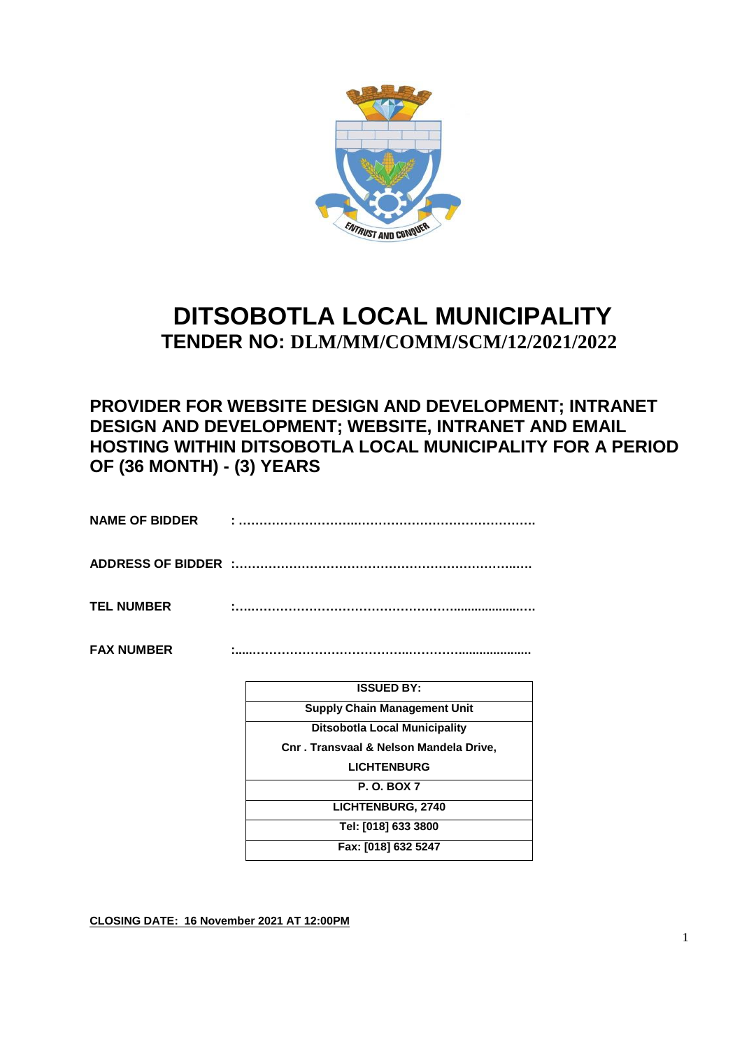

# **DITSOBOTLA LOCAL MUNICIPALITY TENDER NO: DLM/MM/COMM/SCM/12/2021/2022**

# **PROVIDER FOR WEBSITE DESIGN AND DEVELOPMENT; INTRANET DESIGN AND DEVELOPMENT; WEBSITE, INTRANET AND EMAIL HOSTING WITHIN DITSOBOTLA LOCAL MUNICIPALITY FOR A PERIOD OF (36 MONTH) - (3) YEARS**

| <b>NAME OF BIDDER</b> : |                                        |
|-------------------------|----------------------------------------|
|                         |                                        |
| <b>TEL NUMBER</b>       |                                        |
| <b>FAX NUMBER</b>       |                                        |
|                         | <b>ISSUED BY:</b>                      |
|                         | <b>Supply Chain Management Unit</b>    |
|                         | <b>Ditsobotla Local Municipality</b>   |
|                         | Cnr. Transvaal & Nelson Mandela Drive, |
|                         | <b>LICHTENBURG</b>                     |
|                         | <b>P.O. BOX 7</b>                      |
|                         | LICHTENBURG, 2740                      |
|                         | Tel: [018] 633 3800                    |
|                         | Fax: [018] 632 5247                    |

**CLOSING DATE: 16 November 2021 AT 12:00PM**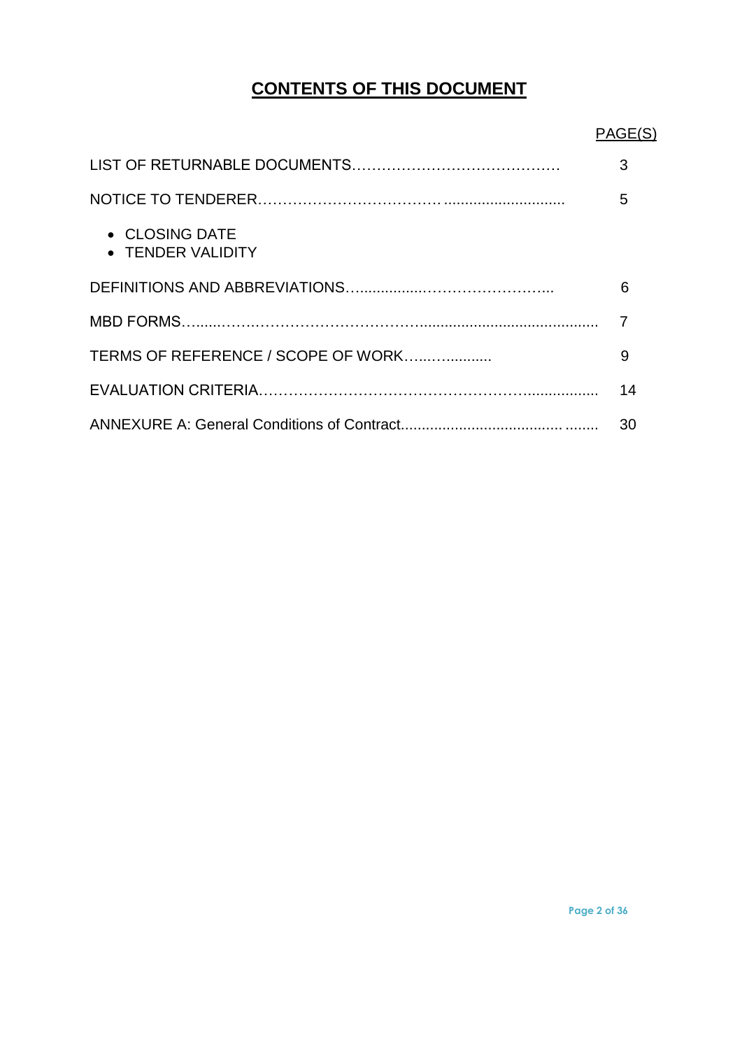# **CONTENTS OF THIS DOCUMENT**

#### PAGE(S) and the contract of the contract of the contract of the contract of the contract of the contract of the contract of the contract of the contract of the contract of the contract of the contract of the contract of th

|                                     | 5  |
|-------------------------------------|----|
| • CLOSING DATE<br>• TENDER VALIDITY |    |
|                                     | 6  |
|                                     |    |
| TERMS OF REFERENCE / SCOPE OF WORK  | 9  |
|                                     | 14 |
|                                     | 30 |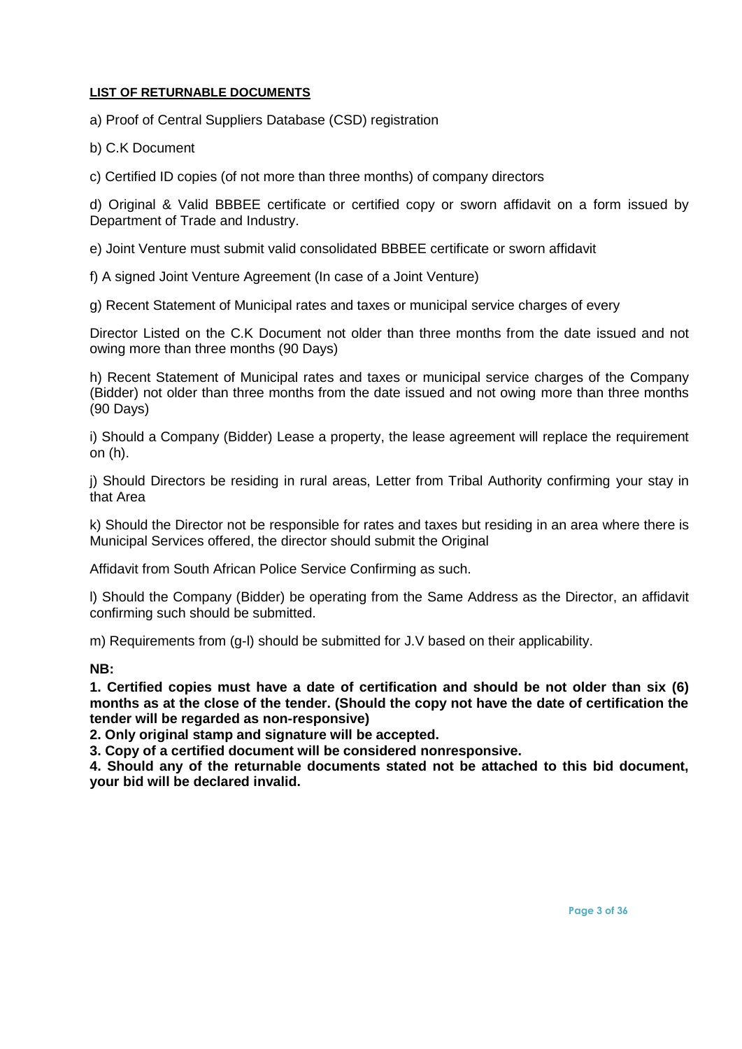#### **LIST OF RETURNABLE DOCUMENTS**

a) Proof of Central Suppliers Database (CSD) registration

b) C.K Document

c) Certified ID copies (of not more than three months) of company directors

d) Original & Valid BBBEE certificate or certified copy or sworn affidavit on a form issued by Department of Trade and Industry.

e) Joint Venture must submit valid consolidated BBBEE certificate or sworn affidavit

f) A signed Joint Venture Agreement (In case of a Joint Venture)

g) Recent Statement of Municipal rates and taxes or municipal service charges of every

Director Listed on the C.K Document not older than three months from the date issued and not owing more than three months (90 Days)

h) Recent Statement of Municipal rates and taxes or municipal service charges of the Company (Bidder) not older than three months from the date issued and not owing more than three months (90 Days)

i) Should a Company (Bidder) Lease a property, the lease agreement will replace the requirement on (h).

j) Should Directors be residing in rural areas, Letter from Tribal Authority confirming your stay in that Area

k) Should the Director not be responsible for rates and taxes but residing in an area where there is Municipal Services offered, the director should submit the Original

Affidavit from South African Police Service Confirming as such.

l) Should the Company (Bidder) be operating from the Same Address as the Director, an affidavit confirming such should be submitted.

m) Requirements from (g-l) should be submitted for J.V based on their applicability.

**NB:**

**1. Certified copies must have a date of certification and should be not older than six (6) months as at the close of the tender. (Should the copy not have the date of certification the tender will be regarded as non-responsive)**

**2. Only original stamp and signature will be accepted.**

**3. Copy of a certified document will be considered nonresponsive.**

**4. Should any of the returnable documents stated not be attached to this bid document, your bid will be declared invalid.**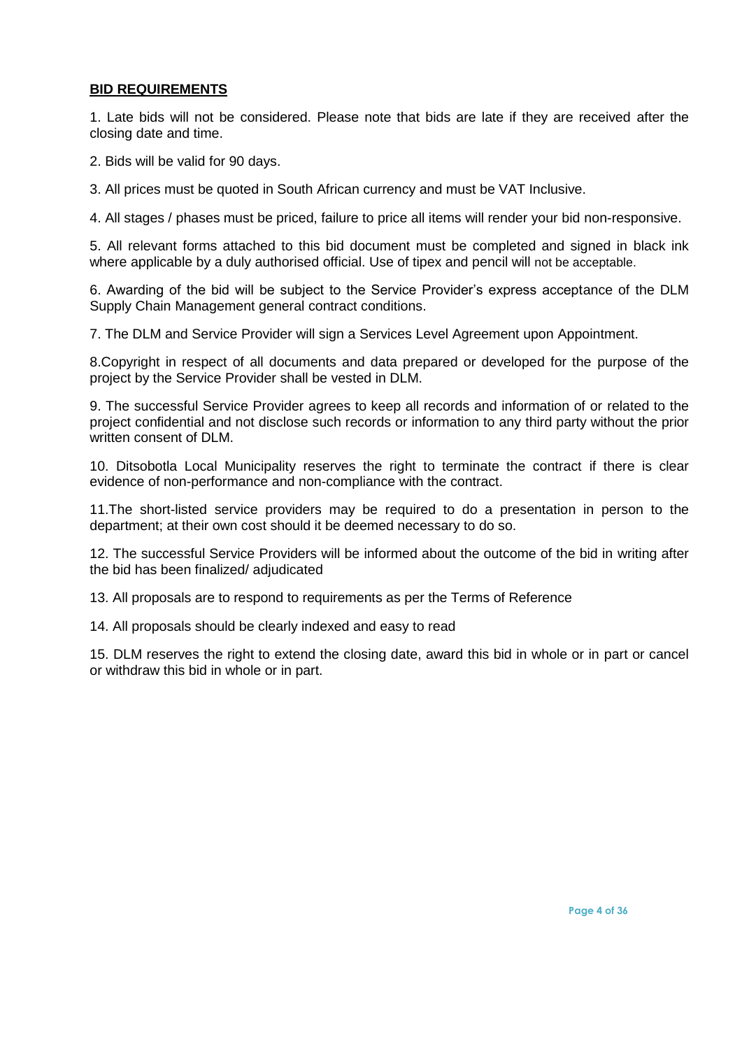#### **BID REQUIREMENTS**

1. Late bids will not be considered. Please note that bids are late if they are received after the closing date and time.

2. Bids will be valid for 90 days.

3. All prices must be quoted in South African currency and must be VAT Inclusive.

4. All stages / phases must be priced, failure to price all items will render your bid non-responsive.

5. All relevant forms attached to this bid document must be completed and signed in black ink where applicable by a duly authorised official. Use of tipex and pencil will not be acceptable.

6. Awarding of the bid will be subject to the Service Provider's express acceptance of the DLM Supply Chain Management general contract conditions.

7. The DLM and Service Provider will sign a Services Level Agreement upon Appointment.

8.Copyright in respect of all documents and data prepared or developed for the purpose of the project by the Service Provider shall be vested in DLM.

9. The successful Service Provider agrees to keep all records and information of or related to the project confidential and not disclose such records or information to any third party without the prior written consent of DLM.

10. Ditsobotla Local Municipality reserves the right to terminate the contract if there is clear evidence of non-performance and non-compliance with the contract.

11.The short-listed service providers may be required to do a presentation in person to the department; at their own cost should it be deemed necessary to do so.

12. The successful Service Providers will be informed about the outcome of the bid in writing after the bid has been finalized/ adjudicated

13. All proposals are to respond to requirements as per the Terms of Reference

14. All proposals should be clearly indexed and easy to read

15. DLM reserves the right to extend the closing date, award this bid in whole or in part or cancel or withdraw this bid in whole or in part.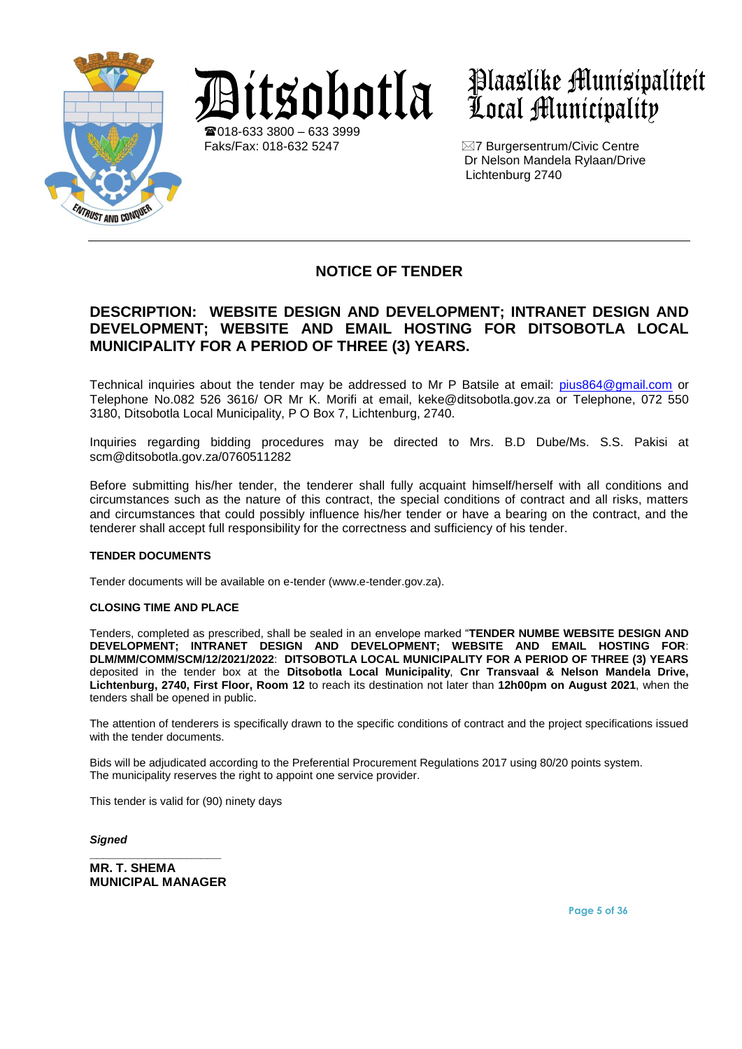



**■018-633 3800 – 633 3999**<br>Faks/Fax: 018-632 5247

# Plaaslike Munisipaliteit<br>Local Municipality

 $\boxtimes$ 7 Burgersentrum/Civic Centre Dr Nelson Mandela Rylaan/Drive Lichtenburg 2740

### **NOTICE OF TENDER**

#### **DESCRIPTION: WEBSITE DESIGN AND DEVELOPMENT; INTRANET DESIGN AND DEVELOPMENT; WEBSITE AND EMAIL HOSTING FOR DITSOBOTLA LOCAL MUNICIPALITY FOR A PERIOD OF THREE (3) YEARS.**

Technical inquiries about the tender may be addressed to Mr P Batsile at email: [pius864@gmail.com](mailto:pius864@gmail.com) or Telephone No.082 526 3616/ OR Mr K. Morifi at email, keke@ditsobotla.gov.za or Telephone, 072 550 3180, Ditsobotla Local Municipality, P O Box 7, Lichtenburg, 2740.

Inquiries regarding bidding procedures may be directed to Mrs. B.D Dube/Ms. S.S. Pakisi at scm@ditsobotla.gov.za/0760511282

Before submitting his/her tender, the tenderer shall fully acquaint himself/herself with all conditions and circumstances such as the nature of this contract, the special conditions of contract and all risks, matters and circumstances that could possibly influence his/her tender or have a bearing on the contract, and the tenderer shall accept full responsibility for the correctness and sufficiency of his tender.

#### **TENDER DOCUMENTS**

Tender documents will be available on e-tender (www.e-tender.gov.za).

#### **CLOSING TIME AND PLACE**

Tenders, completed as prescribed, shall be sealed in an envelope marked "**TENDER NUMBE WEBSITE DESIGN AND DEVELOPMENT; INTRANET DESIGN AND DEVELOPMENT; WEBSITE AND EMAIL HOSTING FOR**: **DLM/MM/COMM/SCM/12/2021/2022**: **DITSOBOTLA LOCAL MUNICIPALITY FOR A PERIOD OF THREE (3) YEARS** deposited in the tender box at the **Ditsobotla Local Municipality**, **Cnr Transvaal & Nelson Mandela Drive, Lichtenburg, 2740, First Floor, Room 12** to reach its destination not later than **12h00pm on August 2021**, when the tenders shall be opened in public.

The attention of tenderers is specifically drawn to the specific conditions of contract and the project specifications issued with the tender documents.

Bids will be adjudicated according to the Preferential Procurement Regulations 2017 using 80/20 points system. The municipality reserves the right to appoint one service provider.

This tender is valid for (90) ninety days

*Signed*

**\_\_\_\_\_\_\_\_\_\_\_\_\_\_\_\_\_\_\_ MR. T. SHEMA MUNICIPAL MANAGER**

**Page 5 of 36**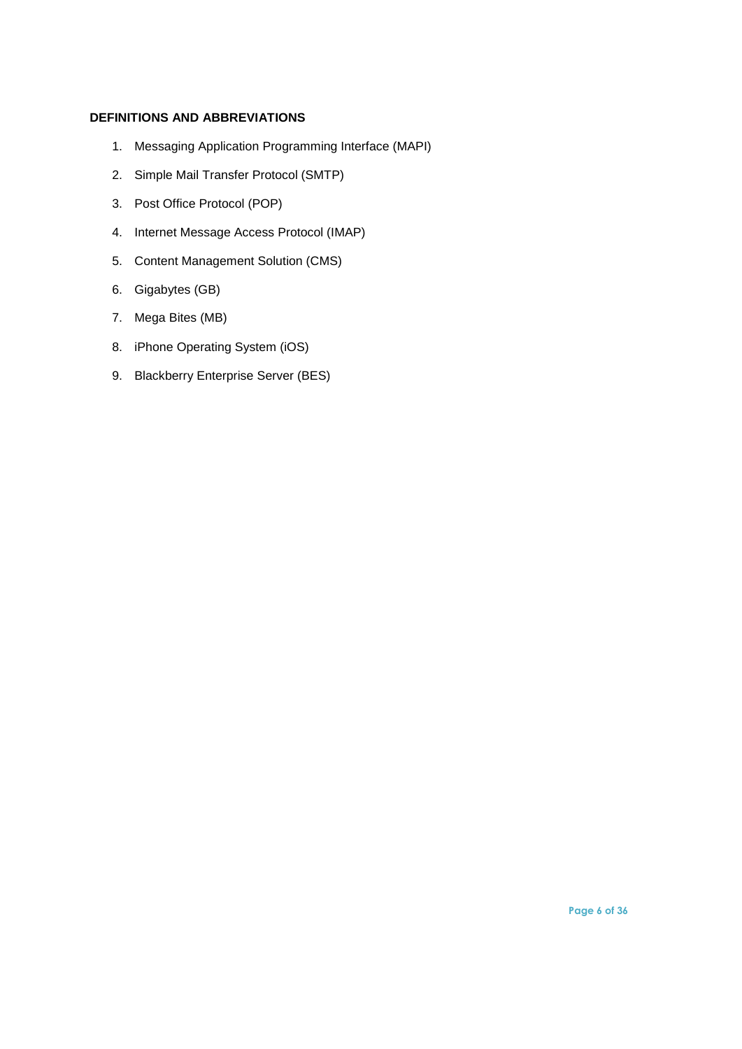#### **DEFINITIONS AND ABBREVIATIONS**

- 1. Messaging Application Programming Interface (MAPI)
- 2. Simple Mail Transfer Protocol (SMTP)
- 3. Post Office Protocol (POP)
- 4. Internet Message Access Protocol (IMAP)
- 5. Content Management Solution (CMS)
- 6. Gigabytes (GB)
- 7. Mega Bites (MB)
- 8. iPhone Operating System (iOS)
- 9. Blackberry Enterprise Server (BES)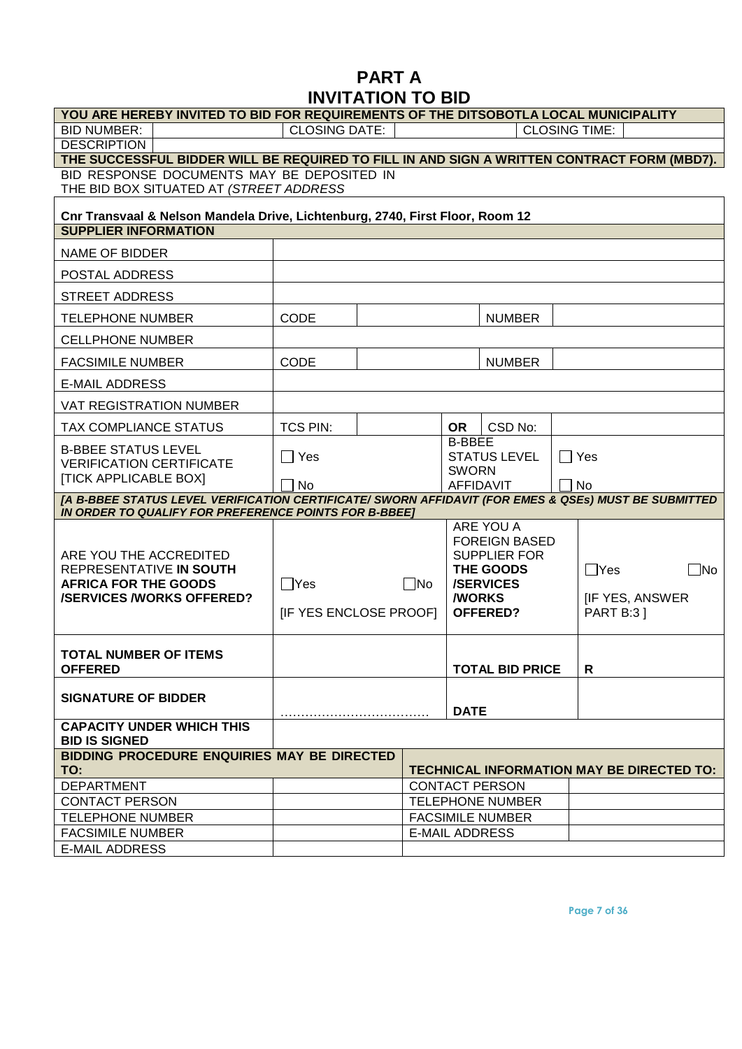# **PART A INVITATION TO BID**

| YOU ARE HEREBY INVITED TO BID FOR REQUIREMENTS OF THE DITSOBOTLA LOCAL MUNICIPALITY                           |                                              |                               |                       |                         |                |                       |
|---------------------------------------------------------------------------------------------------------------|----------------------------------------------|-------------------------------|-----------------------|-------------------------|----------------|-----------------------|
| <b>BID NUMBER:</b>                                                                                            | <b>CLOSING DATE:</b><br><b>CLOSING TIME:</b> |                               |                       |                         |                |                       |
| <b>DESCRIPTION</b>                                                                                            |                                              |                               |                       |                         |                |                       |
| THE SUCCESSFUL BIDDER WILL BE REQUIRED TO FILL IN AND SIGN A WRITTEN CONTRACT FORM (MBD7).                    |                                              |                               |                       |                         |                |                       |
| BID RESPONSE DOCUMENTS MAY BE DEPOSITED IN<br>THE BID BOX SITUATED AT (STREET ADDRESS                         |                                              |                               |                       |                         |                |                       |
| Cnr Transvaal & Nelson Mandela Drive, Lichtenburg, 2740, First Floor, Room 12                                 |                                              |                               |                       |                         |                |                       |
| <b>SUPPLIER INFORMATION</b>                                                                                   |                                              |                               |                       |                         |                |                       |
| NAME OF BIDDER                                                                                                |                                              |                               |                       |                         |                |                       |
| POSTAL ADDRESS                                                                                                |                                              |                               |                       |                         |                |                       |
| <b>STREET ADDRESS</b>                                                                                         |                                              |                               |                       |                         |                |                       |
| <b>TELEPHONE NUMBER</b>                                                                                       | <b>CODE</b>                                  |                               |                       | <b>NUMBER</b>           |                |                       |
| <b>CELLPHONE NUMBER</b>                                                                                       |                                              |                               |                       |                         |                |                       |
| <b>FACSIMILE NUMBER</b>                                                                                       | CODE                                         |                               |                       | <b>NUMBER</b>           |                |                       |
| <b>E-MAIL ADDRESS</b>                                                                                         |                                              |                               |                       |                         |                |                       |
| <b>VAT REGISTRATION NUMBER</b>                                                                                |                                              |                               |                       |                         |                |                       |
| TAX COMPLIANCE STATUS                                                                                         | <b>TCS PIN:</b>                              |                               | <b>OR</b>             | CSD No:                 |                |                       |
| <b>B-BBEE STATUS LEVEL</b><br><b>VERIFICATION CERTIFICATE</b>                                                 | $\Box$ Yes                                   |                               | <b>B-BBEE</b>         | <b>STATUS LEVEL</b>     | $\Box$ Yes     |                       |
| <b>[TICK APPLICABLE BOX]</b>                                                                                  | No                                           |                               | <b>SWORN</b>          | <b>AFFIDAVIT</b>        | No             |                       |
| [A B-BBEE STATUS LEVEL VERIFICATION CERTIFICATE/ SWORN AFFIDAVIT (FOR EMES & QSEs) MUST BE SUBMITTED          |                                              |                               |                       |                         |                |                       |
| IN ORDER TO QUALIFY FOR PREFERENCE POINTS FOR B-BBEET                                                         |                                              |                               |                       | ARE YOU A               |                |                       |
|                                                                                                               |                                              |                               |                       | <b>FOREIGN BASED</b>    |                |                       |
| ARE YOU THE ACCREDITED                                                                                        |                                              |                               |                       | <b>SUPPLIER FOR</b>     |                |                       |
| REPRESENTATIVE IN SOUTH                                                                                       |                                              |                               |                       | THE GOODS               | $\Box$ Yes     | $\square$ No          |
| <b>AFRICA FOR THE GOODS</b>                                                                                   | $\Box$ Yes                                   | $\Box$ No                     |                       | <b>/SERVICES</b>        |                |                       |
| /SERVICES /WORKS OFFERED?                                                                                     |                                              |                               | <b><i>NORKS</i></b>   |                         |                | <b>IF YES, ANSWER</b> |
|                                                                                                               | [IF YES ENCLOSE PROOF]                       | OFFERED?<br><b>PART B:3 1</b> |                       |                         |                |                       |
|                                                                                                               |                                              |                               |                       |                         |                |                       |
| <b>TOTAL NUMBER OF ITEMS</b>                                                                                  |                                              |                               |                       |                         |                |                       |
| <b>OFFERED</b>                                                                                                |                                              |                               |                       | <b>TOTAL BID PRICE</b>  | $\overline{R}$ |                       |
|                                                                                                               |                                              |                               |                       |                         |                |                       |
| <b>SIGNATURE OF BIDDER</b>                                                                                    |                                              |                               | <b>DATE</b>           |                         |                |                       |
| <b>CAPACITY UNDER WHICH THIS</b>                                                                              |                                              |                               |                       |                         |                |                       |
| <b>BID IS SIGNED</b>                                                                                          |                                              |                               |                       |                         |                |                       |
| <b>BIDDING PROCEDURE ENQUIRIES MAY BE DIRECTED</b><br><b>TECHNICAL INFORMATION MAY BE DIRECTED TO:</b><br>TO: |                                              |                               |                       |                         |                |                       |
| <b>DEPARTMENT</b>                                                                                             | <b>CONTACT PERSON</b>                        |                               |                       |                         |                |                       |
| <b>CONTACT PERSON</b>                                                                                         | <b>TELEPHONE NUMBER</b>                      |                               |                       |                         |                |                       |
| <b>TELEPHONE NUMBER</b>                                                                                       |                                              |                               |                       | <b>FACSIMILE NUMBER</b> |                |                       |
| <b>FACSIMILE NUMBER</b>                                                                                       |                                              |                               | <b>E-MAIL ADDRESS</b> |                         |                |                       |
| <b>E-MAIL ADDRESS</b>                                                                                         |                                              |                               |                       |                         |                |                       |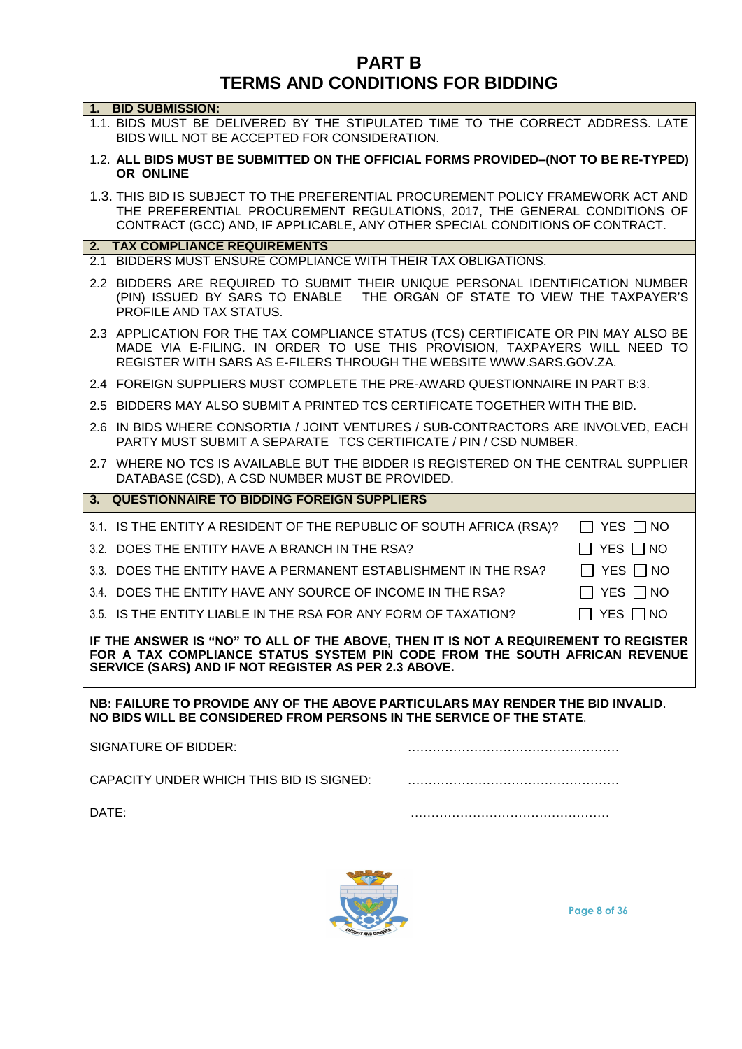# **PART B TERMS AND CONDITIONS FOR BIDDING**

| 1. BID SUBMISSION:                                                                                                                                                                                                                             |                                                                                     |  |  |  |  |  |
|------------------------------------------------------------------------------------------------------------------------------------------------------------------------------------------------------------------------------------------------|-------------------------------------------------------------------------------------|--|--|--|--|--|
| 1.1. BIDS MUST BE DELIVERED BY THE STIPULATED TIME TO THE CORRECT ADDRESS. LATE<br>BIDS WILL NOT BE ACCEPTED FOR CONSIDERATION.                                                                                                                |                                                                                     |  |  |  |  |  |
| OR ONLINE                                                                                                                                                                                                                                      | 1.2. ALL BIDS MUST BE SUBMITTED ON THE OFFICIAL FORMS PROVIDED-(NOT TO BE RE-TYPED) |  |  |  |  |  |
| 1.3. THIS BID IS SUBJECT TO THE PREFERENTIAL PROCUREMENT POLICY FRAMEWORK ACT AND<br>THE PREFERENTIAL PROCUREMENT REGULATIONS, 2017, THE GENERAL CONDITIONS OF<br>CONTRACT (GCC) AND, IF APPLICABLE, ANY OTHER SPECIAL CONDITIONS OF CONTRACT. |                                                                                     |  |  |  |  |  |
| 2. TAX COMPLIANCE REQUIREMENTS                                                                                                                                                                                                                 |                                                                                     |  |  |  |  |  |
| 2.1 BIDDERS MUST ENSURE COMPLIANCE WITH THEIR TAX OBLIGATIONS.                                                                                                                                                                                 |                                                                                     |  |  |  |  |  |
| 2.2 BIDDERS ARE REQUIRED TO SUBMIT THEIR UNIQUE PERSONAL IDENTIFICATION NUMBER<br>(PIN) ISSUED BY SARS TO ENABLE  THE ORGAN OF STATE TO VIEW THE TAXPAYER'S<br>PROFILE AND TAX STATUS.                                                         |                                                                                     |  |  |  |  |  |
| 2.3 APPLICATION FOR THE TAX COMPLIANCE STATUS (TCS) CERTIFICATE OR PIN MAY ALSO BE<br>MADE VIA E-FILING. IN ORDER TO USE THIS PROVISION, TAXPAYERS WILL NEED TO<br>REGISTER WITH SARS AS E-FILERS THROUGH THE WEBSITE WWW.SARS.GOV.ZA.         |                                                                                     |  |  |  |  |  |
| 2.4 FOREIGN SUPPLIERS MUST COMPLETE THE PRE-AWARD QUESTIONNAIRE IN PART B:3.                                                                                                                                                                   |                                                                                     |  |  |  |  |  |
| 2.5 BIDDERS MAY ALSO SUBMIT A PRINTED TCS CERTIFICATE TOGETHER WITH THE BID.                                                                                                                                                                   |                                                                                     |  |  |  |  |  |
| 2.6 IN BIDS WHERE CONSORTIA / JOINT VENTURES / SUB-CONTRACTORS ARE INVOLVED, EACH<br>PARTY MUST SUBMIT A SEPARATE TCS CERTIFICATE / PIN / CSD NUMBER.                                                                                          |                                                                                     |  |  |  |  |  |
| 2.7 WHERE NO TCS IS AVAILABLE BUT THE BIDDER IS REGISTERED ON THE CENTRAL SUPPLIER<br>DATABASE (CSD), A CSD NUMBER MUST BE PROVIDED.                                                                                                           |                                                                                     |  |  |  |  |  |
| 3. QUESTIONNAIRE TO BIDDING FOREIGN SUPPLIERS                                                                                                                                                                                                  |                                                                                     |  |  |  |  |  |
| 3.1. IS THE ENTITY A RESIDENT OF THE REPUBLIC OF SOUTH AFRICA (RSA)?<br>$\Box$ YES $\Box$ NO                                                                                                                                                   |                                                                                     |  |  |  |  |  |
| 3.2. DOES THE ENTITY HAVE A BRANCH IN THE RSA?<br>$\Box$ YES $\Box$ NO                                                                                                                                                                         |                                                                                     |  |  |  |  |  |
| 3.3. DOES THE ENTITY HAVE A PERMANENT ESTABLISHMENT IN THE RSA?<br>$\Box$ Yes $\Box$ No                                                                                                                                                        |                                                                                     |  |  |  |  |  |
| $\Box$ YES $\Box$ NO<br>3.4. DOES THE ENTITY HAVE ANY SOURCE OF INCOME IN THE RSA?                                                                                                                                                             |                                                                                     |  |  |  |  |  |
| 3.5. IS THE ENTITY LIABLE IN THE RSA FOR ANY FORM OF TAXATION?<br>$\Box$ YES $\Box$ NO                                                                                                                                                         |                                                                                     |  |  |  |  |  |
| IF THE ANSWER IS "NO" TO ALL OF THE ABOVE, THEN IT IS NOT A REQUIREMENT TO REGISTER<br>FOR A TAX COMPLIANCE STATUS SYSTEM PIN CODE FROM THE SOUTH AFRICAN REVENUE<br>SERVICE (SARS) AND IF NOT REGISTER AS PER 2.3 ABOVE.                      |                                                                                     |  |  |  |  |  |
| NR. CAILUDE TO DDOVIDE ANY OF THE AROVE DADTICULADS MAY DENDED THE RID INVALID                                                                                                                                                                 |                                                                                     |  |  |  |  |  |

**NB: FAILURE TO PROVIDE ANY OF THE ABOVE PARTICULARS MAY RENDER THE BID INVALID**. **NO BIDS WILL BE CONSIDERED FROM PERSONS IN THE SERVICE OF THE STATE**.

SIGNATURE OF BIDDER: ……………………………………………

CAPACITY UNDER WHICH THIS BID IS SIGNED: ……………………………………………

DATE: …………………………………………



**Page 8 of 36**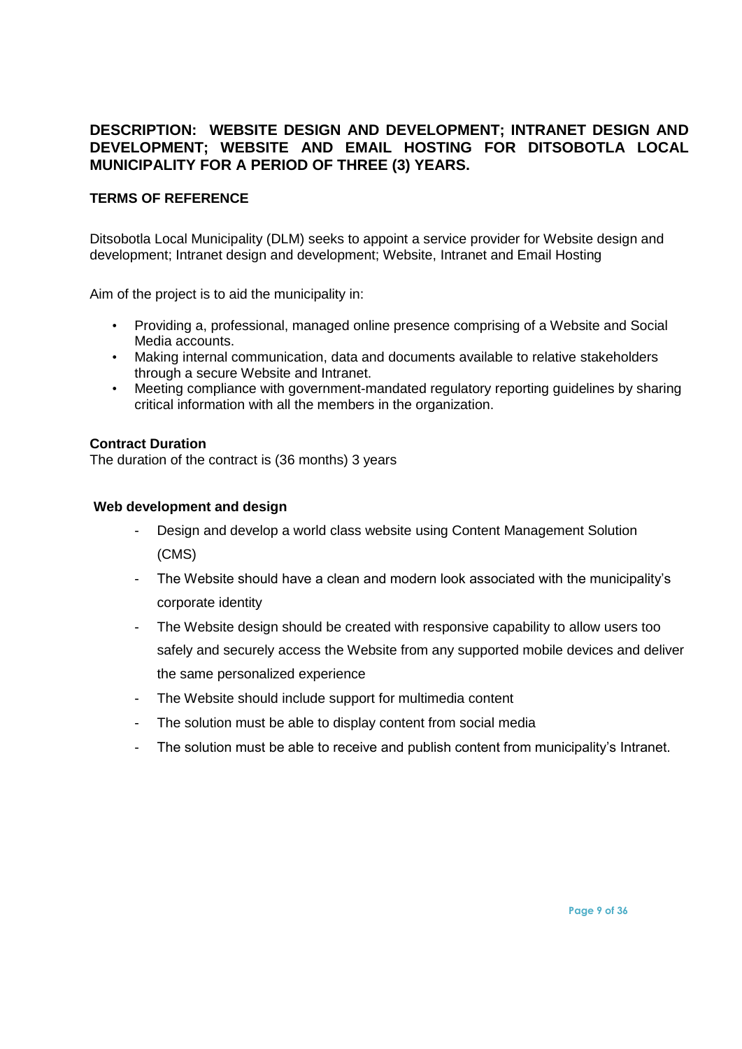#### **DESCRIPTION: WEBSITE DESIGN AND DEVELOPMENT; INTRANET DESIGN AND DEVELOPMENT; WEBSITE AND EMAIL HOSTING FOR DITSOBOTLA LOCAL MUNICIPALITY FOR A PERIOD OF THREE (3) YEARS.**

#### **TERMS OF REFERENCE**

Ditsobotla Local Municipality (DLM) seeks to appoint a service provider for Website design and development; Intranet design and development; Website, Intranet and Email Hosting

Aim of the project is to aid the municipality in:

- Providing a, professional, managed online presence comprising of a Website and Social Media accounts.
- Making internal communication, data and documents available to relative stakeholders through a secure Website and Intranet.
- Meeting compliance with government-mandated regulatory reporting guidelines by sharing critical information with all the members in the organization.

#### **Contract Duration**

The duration of the contract is (36 months) 3 years

#### **Web development and design**

- Design and develop a world class website using Content Management Solution (CMS)
- The Website should have a clean and modern look associated with the municipality's corporate identity
- The Website design should be created with responsive capability to allow users too safely and securely access the Website from any supported mobile devices and deliver the same personalized experience
- The Website should include support for multimedia content
- The solution must be able to display content from social media
- The solution must be able to receive and publish content from municipality's Intranet.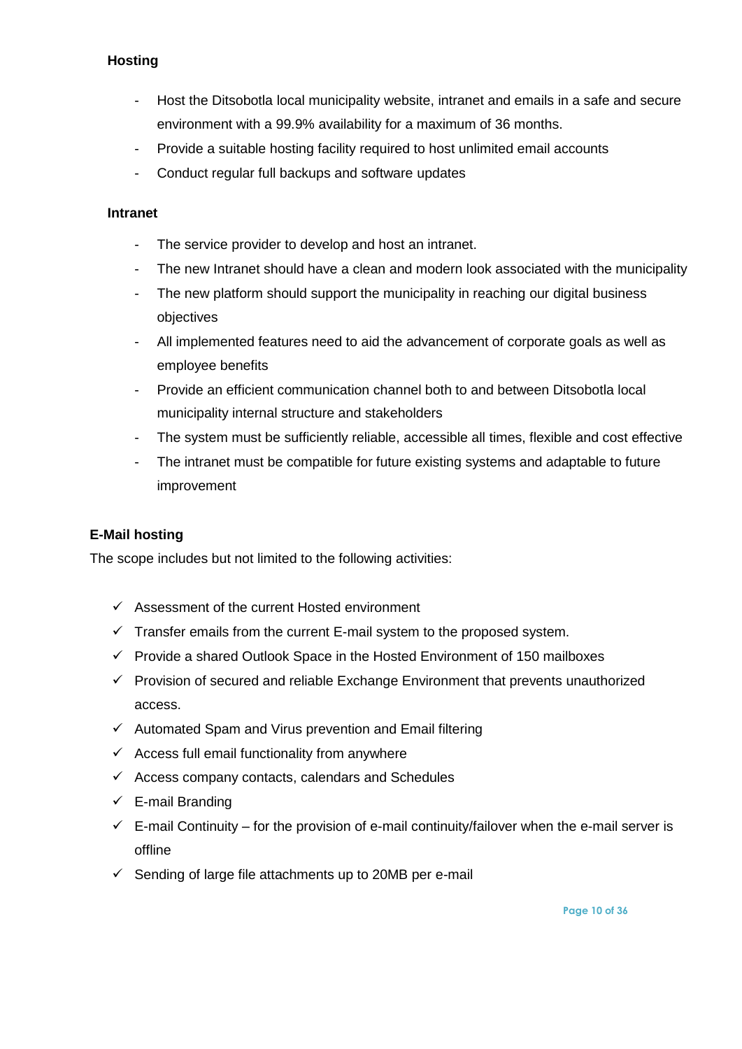#### **Hosting**

- Host the Ditsobotla local municipality website, intranet and emails in a safe and secure environment with a 99.9% availability for a maximum of 36 months.
- Provide a suitable hosting facility required to host unlimited email accounts
- Conduct regular full backups and software updates

#### **Intranet**

- The service provider to develop and host an intranet.
- The new Intranet should have a clean and modern look associated with the municipality
- The new platform should support the municipality in reaching our digital business objectives
- All implemented features need to aid the advancement of corporate goals as well as employee benefits
- Provide an efficient communication channel both to and between Ditsobotla local municipality internal structure and stakeholders
- The system must be sufficiently reliable, accessible all times, flexible and cost effective
- The intranet must be compatible for future existing systems and adaptable to future improvement

#### **E-Mail hosting**

The scope includes but not limited to the following activities:

- $\checkmark$  Assessment of the current Hosted environment
- $\checkmark$  Transfer emails from the current E-mail system to the proposed system.
- $\checkmark$  Provide a shared Outlook Space in the Hosted Environment of 150 mailboxes
- $\checkmark$  Provision of secured and reliable Exchange Environment that prevents unauthorized access.
- $\checkmark$  Automated Spam and Virus prevention and Email filtering
- $\checkmark$  Access full email functionality from anywhere
- $\checkmark$  Access company contacts, calendars and Schedules
- $\checkmark$  E-mail Branding
- $\checkmark$  E-mail Continuity for the provision of e-mail continuity/failover when the e-mail server is offline
- $\checkmark$  Sending of large file attachments up to 20MB per e-mail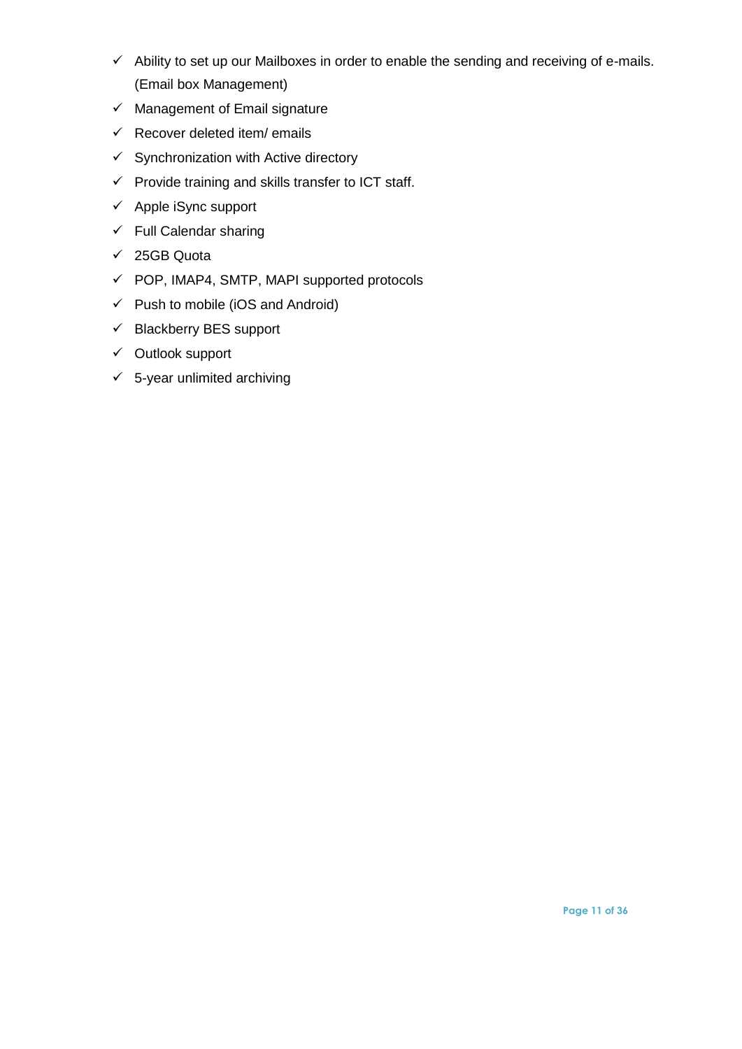- $\checkmark$  Ability to set up our Mailboxes in order to enable the sending and receiving of e-mails. (Email box Management)
- $\checkmark$  Management of Email signature
- $\checkmark$  Recover deleted item/ emails
- $\checkmark$  Synchronization with Active directory
- $\checkmark$  Provide training and skills transfer to ICT staff.
- $\checkmark$  Apple iSync support
- $\checkmark$  Full Calendar sharing
- $\checkmark$  25GB Quota
- $\checkmark$  POP, IMAP4, SMTP, MAPI supported protocols
- $\checkmark$  Push to mobile (iOS and Android)
- $\checkmark$  Blackberry BES support
- $\checkmark$  Outlook support
- $6$ -year unlimited archiving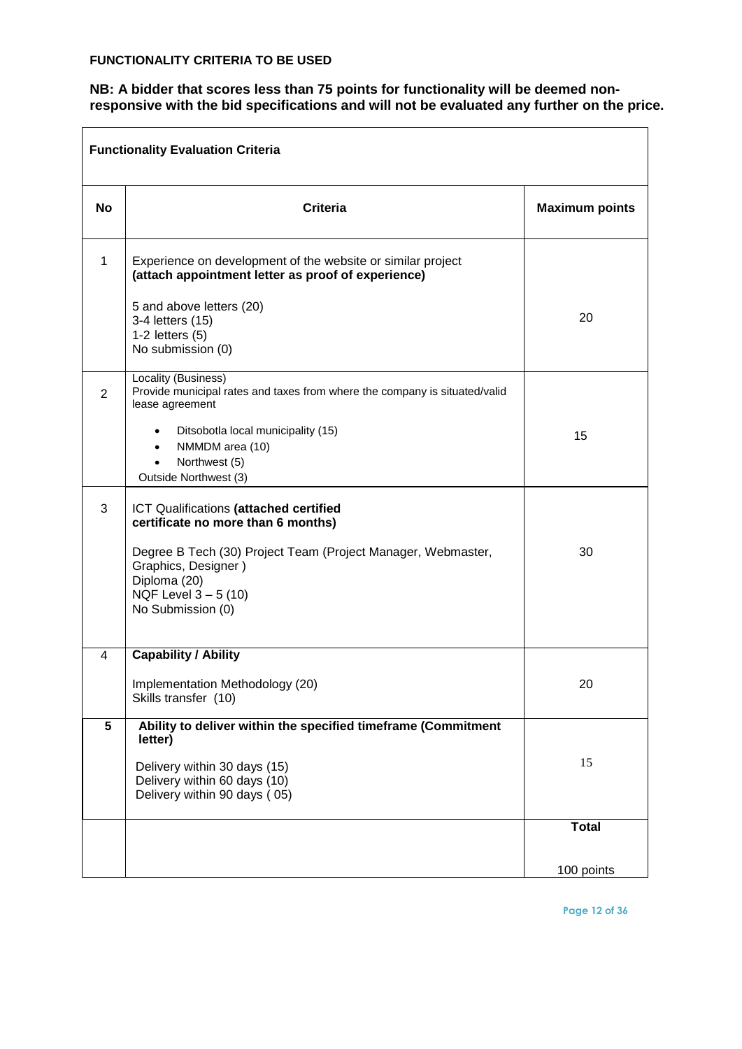#### **NB: A bidder that scores less than 75 points for functionality will be deemed nonresponsive with the bid specifications and will not be evaluated any further on the price.**

|                         | <b>Functionality Evaluation Criteria</b>                                                                                                          |                       |  |  |  |
|-------------------------|---------------------------------------------------------------------------------------------------------------------------------------------------|-----------------------|--|--|--|
| No                      | <b>Criteria</b>                                                                                                                                   | <b>Maximum points</b> |  |  |  |
| 1                       | Experience on development of the website or similar project<br>(attach appointment letter as proof of experience)                                 |                       |  |  |  |
|                         | 5 and above letters (20)<br>3-4 letters (15)<br>$1-2$ letters $(5)$<br>No submission (0)                                                          | 20                    |  |  |  |
| 2                       | Locality (Business)<br>Provide municipal rates and taxes from where the company is situated/valid<br>lease agreement                              |                       |  |  |  |
|                         | Ditsobotla local municipality (15)<br>$\bullet$<br>NMMDM area (10)<br>$\bullet$<br>Northwest (5)<br>$\bullet$<br>Outside Northwest (3)            | 15                    |  |  |  |
| 3                       | ICT Qualifications (attached certified<br>certificate no more than 6 months)                                                                      |                       |  |  |  |
|                         | Degree B Tech (30) Project Team (Project Manager, Webmaster,<br>Graphics, Designer)<br>Diploma (20)<br>NQF Level $3 - 5(10)$<br>No Submission (0) | 30                    |  |  |  |
| 4                       | <b>Capability / Ability</b>                                                                                                                       |                       |  |  |  |
|                         | Implementation Methodology (20)<br>Skills transfer (10)                                                                                           | 20                    |  |  |  |
| $\overline{\mathbf{5}}$ | Ability to deliver within the specified timeframe (Commitment<br>letter)                                                                          |                       |  |  |  |
|                         | Delivery within 30 days (15)<br>Delivery within 60 days (10)<br>Delivery within 90 days (05)                                                      | 15                    |  |  |  |
|                         |                                                                                                                                                   | <b>Total</b>          |  |  |  |
|                         |                                                                                                                                                   | 100 points            |  |  |  |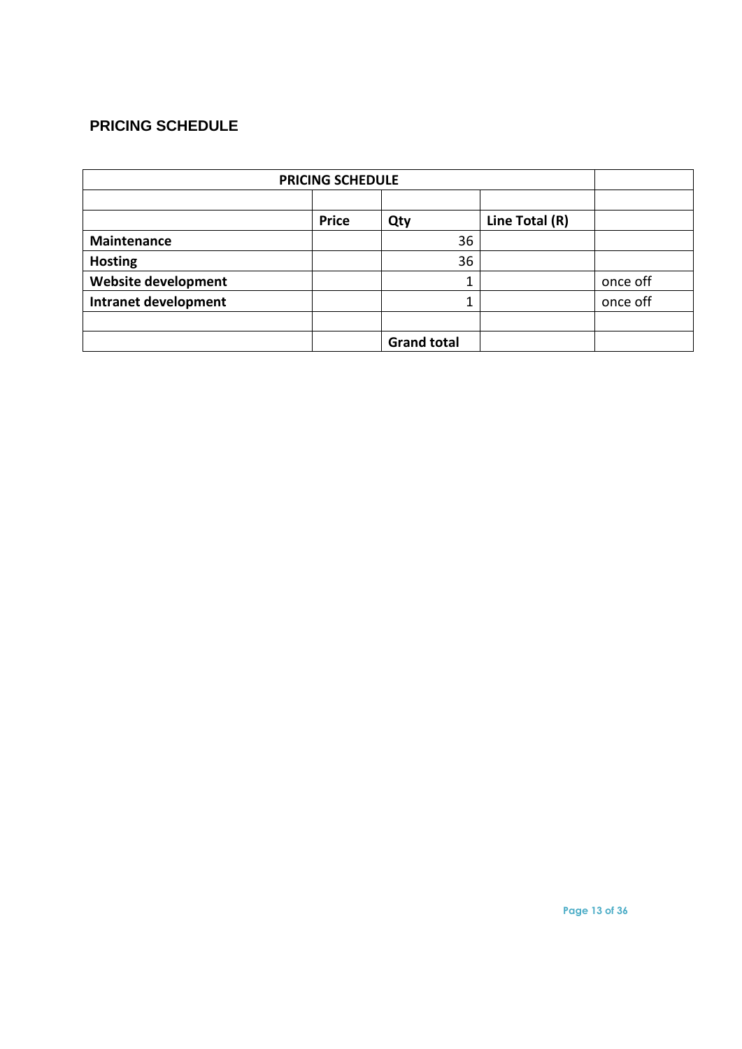# **PRICING SCHEDULE**

| <b>PRICING SCHEDULE</b>     |              |                    |                |          |
|-----------------------------|--------------|--------------------|----------------|----------|
|                             |              |                    |                |          |
|                             | <b>Price</b> | Qty                | Line Total (R) |          |
| <b>Maintenance</b>          |              | 36                 |                |          |
| <b>Hosting</b>              |              | 36                 |                |          |
| Website development         |              | 1                  |                | once off |
| <b>Intranet development</b> |              | 1                  |                | once off |
|                             |              |                    |                |          |
|                             |              | <b>Grand total</b> |                |          |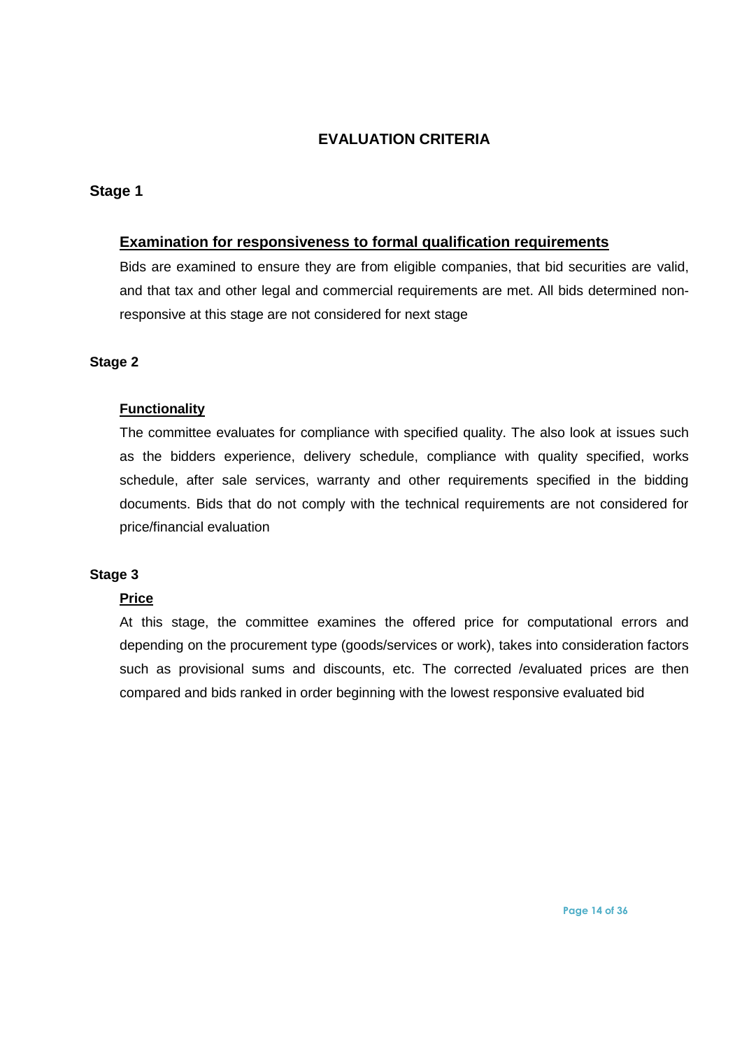#### **EVALUATION CRITERIA**

#### **Stage 1**

#### **Examination for responsiveness to formal qualification requirements**

Bids are examined to ensure they are from eligible companies, that bid securities are valid, and that tax and other legal and commercial requirements are met. All bids determined nonresponsive at this stage are not considered for next stage

#### **Stage 2**

#### **Functionality**

The committee evaluates for compliance with specified quality. The also look at issues such as the bidders experience, delivery schedule, compliance with quality specified, works schedule, after sale services, warranty and other requirements specified in the bidding documents. Bids that do not comply with the technical requirements are not considered for price/financial evaluation

#### **Stage 3**

#### **Price**

At this stage, the committee examines the offered price for computational errors and depending on the procurement type (goods/services or work), takes into consideration factors such as provisional sums and discounts, etc. The corrected /evaluated prices are then compared and bids ranked in order beginning with the lowest responsive evaluated bid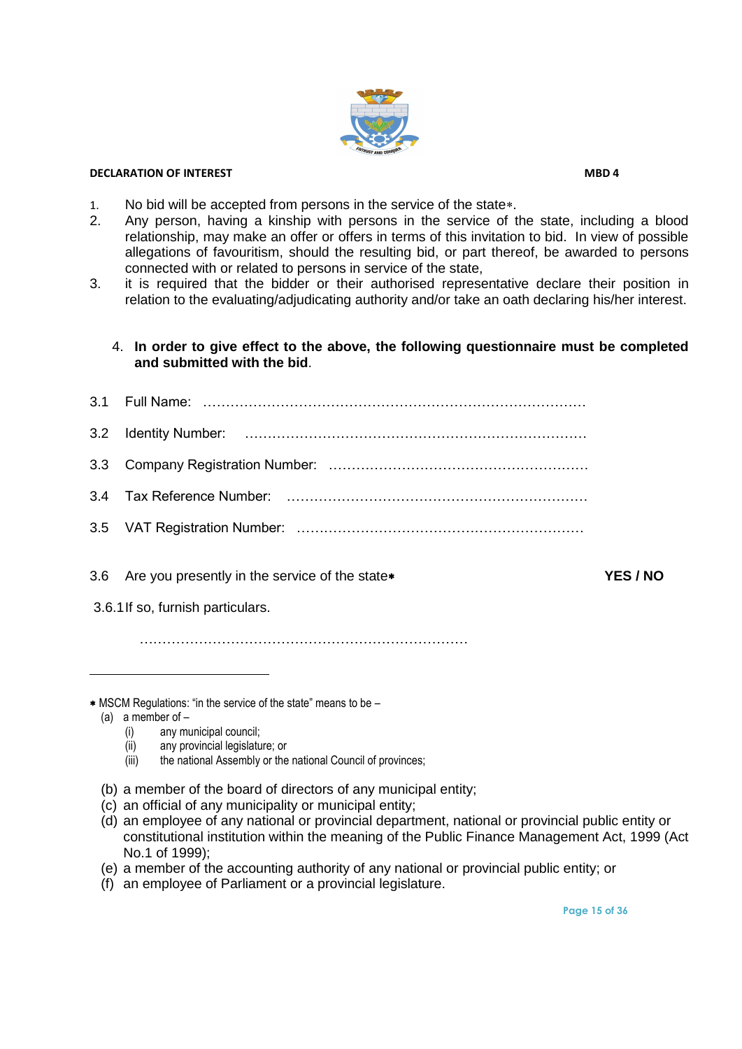

#### **DECLARATION OF INTEREST MBD 4**

- 1. No bid will be accepted from persons in the service of the state \*.
- 2. Any person, having a kinship with persons in the service of the state, including a blood relationship, may make an offer or offers in terms of this invitation to bid. In view of possible allegations of favouritism, should the resulting bid, or part thereof, be awarded to persons connected with or related to persons in service of the state,
- 3. it is required that the bidder or their authorised representative declare their position in relation to the evaluating/adjudicating authority and/or take an oath declaring his/her interest.
	- 4. **In order to give effect to the above, the following questionnaire must be completed and submitted with the bid**.

| 3.6 Are you presently in the service of the state* | YES / NO |
|----------------------------------------------------|----------|
| 3.6.1 If so, furnish particulars.                  |          |
|                                                    |          |

\* MSCM Regulations: "in the service of the state" means to be -

(a) a member of –

1

- (i) any municipal council;
- (ii) any provincial legislature; or
- (iii) the national Assembly or the national Council of provinces;
- (b) a member of the board of directors of any municipal entity;

 $\mathcal{L}_{\mathcal{M}}$ 

- (c) an official of any municipality or municipal entity;
- (d) an employee of any national or provincial department, national or provincial public entity or constitutional institution within the meaning of the Public Finance Management Act, 1999 (Act No.1 of 1999);
- (e) a member of the accounting authority of any national or provincial public entity; or
- (f) an employee of Parliament or a provincial legislature.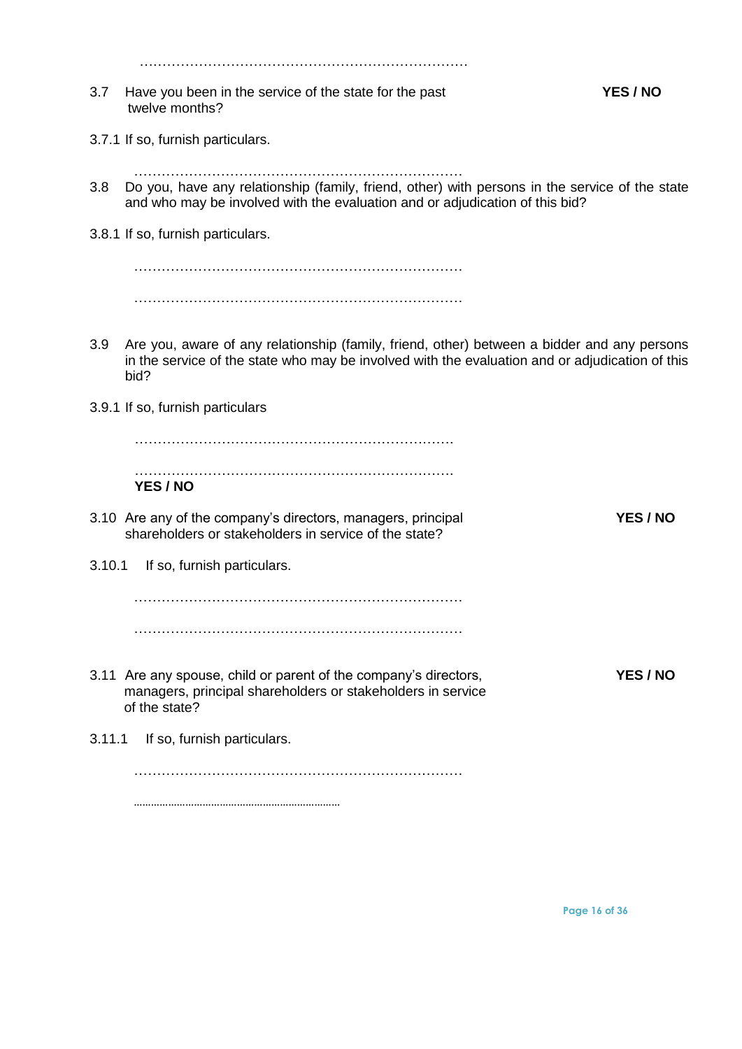| 3.7    | Have you been in the service of the state for the past<br>twelve months?                                                                                                                               | YES / NO |
|--------|--------------------------------------------------------------------------------------------------------------------------------------------------------------------------------------------------------|----------|
|        | 3.7.1 If so, furnish particulars.                                                                                                                                                                      |          |
| 3.8    | Do you, have any relationship (family, friend, other) with persons in the service of the state<br>and who may be involved with the evaluation and or adjudication of this bid?                         |          |
|        | 3.8.1 If so, furnish particulars.                                                                                                                                                                      |          |
|        |                                                                                                                                                                                                        |          |
|        |                                                                                                                                                                                                        |          |
| 3.9    | Are you, aware of any relationship (family, friend, other) between a bidder and any persons<br>in the service of the state who may be involved with the evaluation and or adjudication of this<br>bid? |          |
|        | 3.9.1 If so, furnish particulars                                                                                                                                                                       |          |
|        |                                                                                                                                                                                                        |          |
|        | YES / NO                                                                                                                                                                                               |          |
|        | 3.10 Are any of the company's directors, managers, principal<br>shareholders or stakeholders in service of the state?                                                                                  | YES / NO |
| 3.10.1 | If so, furnish particulars.                                                                                                                                                                            |          |
|        |                                                                                                                                                                                                        |          |
|        |                                                                                                                                                                                                        |          |
|        | 3.11 Are any spouse, child or parent of the company's directors,<br>managers, principal shareholders or stakeholders in service<br>of the state?                                                       | YES / NO |
| 3.11.1 | If so, furnish particulars.                                                                                                                                                                            |          |
|        |                                                                                                                                                                                                        |          |
|        |                                                                                                                                                                                                        |          |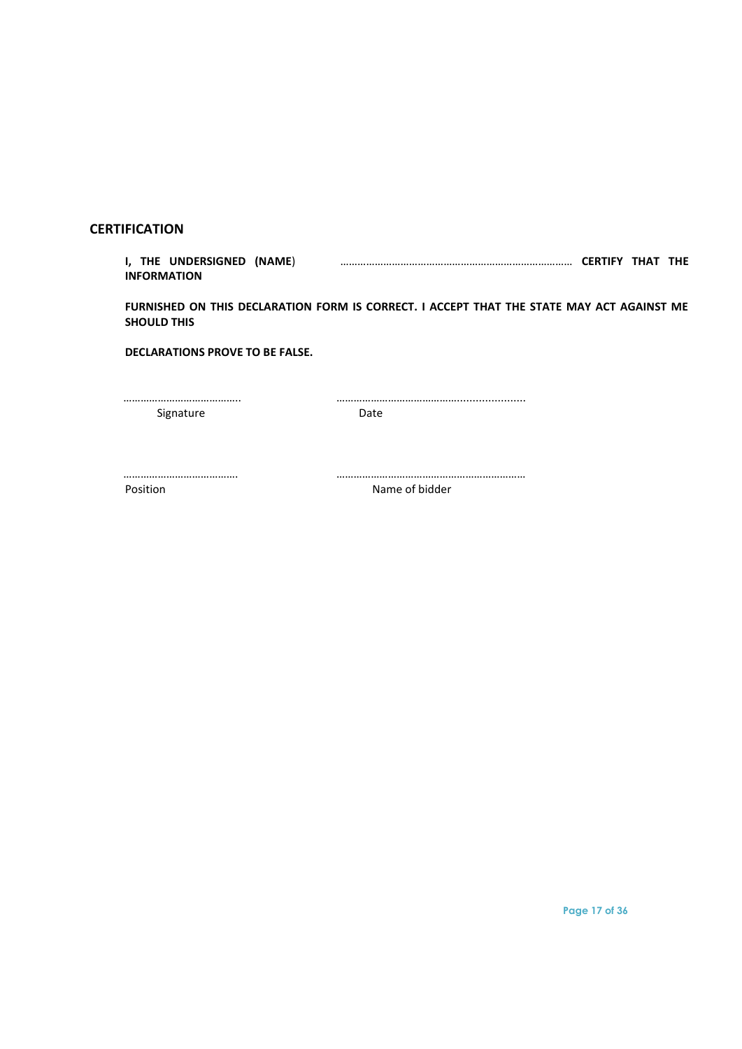#### **CERTIFICATION**

|  | I, THE UNDERSIGNED (NAME) |  | . CERTIFY THAT THE |  |
|--|---------------------------|--|--------------------|--|
|  | <b>INFORMATION</b>        |  |                    |  |

**FURNISHED ON THIS DECLARATION FORM IS CORRECT. I ACCEPT THAT THE STATE MAY ACT AGAINST ME SHOULD THIS** 

**DECLARATIONS PROVE TO BE FALSE.** 

Signature Date

………………………………….. ……………………………………......................

…………………………………. …………………………………………………………

Position **Name of bidder** 

**Page 17 of 36**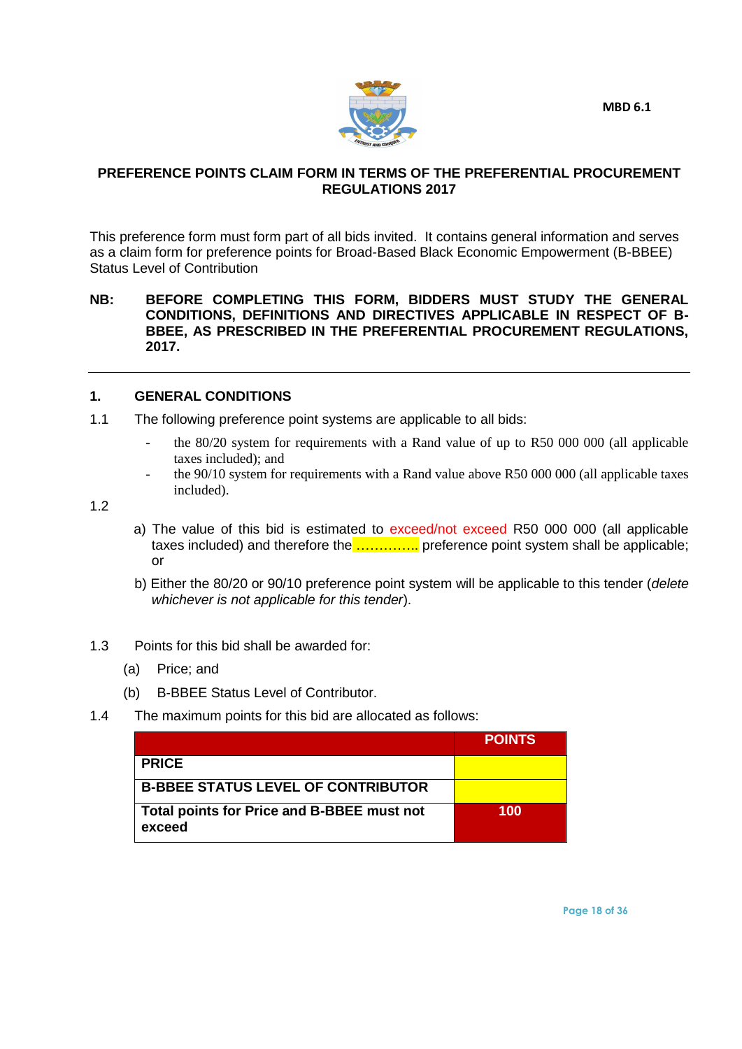

#### **PREFERENCE POINTS CLAIM FORM IN TERMS OF THE PREFERENTIAL PROCUREMENT REGULATIONS 2017**

This preference form must form part of all bids invited. It contains general information and serves as a claim form for preference points for Broad-Based Black Economic Empowerment (B-BBEE) Status Level of Contribution

#### **NB: BEFORE COMPLETING THIS FORM, BIDDERS MUST STUDY THE GENERAL CONDITIONS, DEFINITIONS AND DIRECTIVES APPLICABLE IN RESPECT OF B-BBEE, AS PRESCRIBED IN THE PREFERENTIAL PROCUREMENT REGULATIONS, 2017.**

#### **1. GENERAL CONDITIONS**

- 1.1 The following preference point systems are applicable to all bids:
	- the 80/20 system for requirements with a Rand value of up to R50 000 000 (all applicable taxes included); and
	- the 90/10 system for requirements with a Rand value above R50 000 000 (all applicable taxes included).

1.2

- a) The value of this bid is estimated to exceed/not exceed R50 000 000 (all applicable taxes included) and therefore the  $\ldots \ldots \ldots$  preference point system shall be applicable; or
- b) Either the 80/20 or 90/10 preference point system will be applicable to this tender (*delete whichever is not applicable for this tender*).
- 1.3 Points for this bid shall be awarded for:
	- (a) Price; and
	- (b) B-BBEE Status Level of Contributor.
- 1.4 The maximum points for this bid are allocated as follows:

|                                                      | <b>POINTS</b> |
|------------------------------------------------------|---------------|
| <b>PRICE</b>                                         |               |
| <b>B-BBEE STATUS LEVEL OF CONTRIBUTOR</b>            |               |
| Total points for Price and B-BBEE must not<br>exceed | 100.          |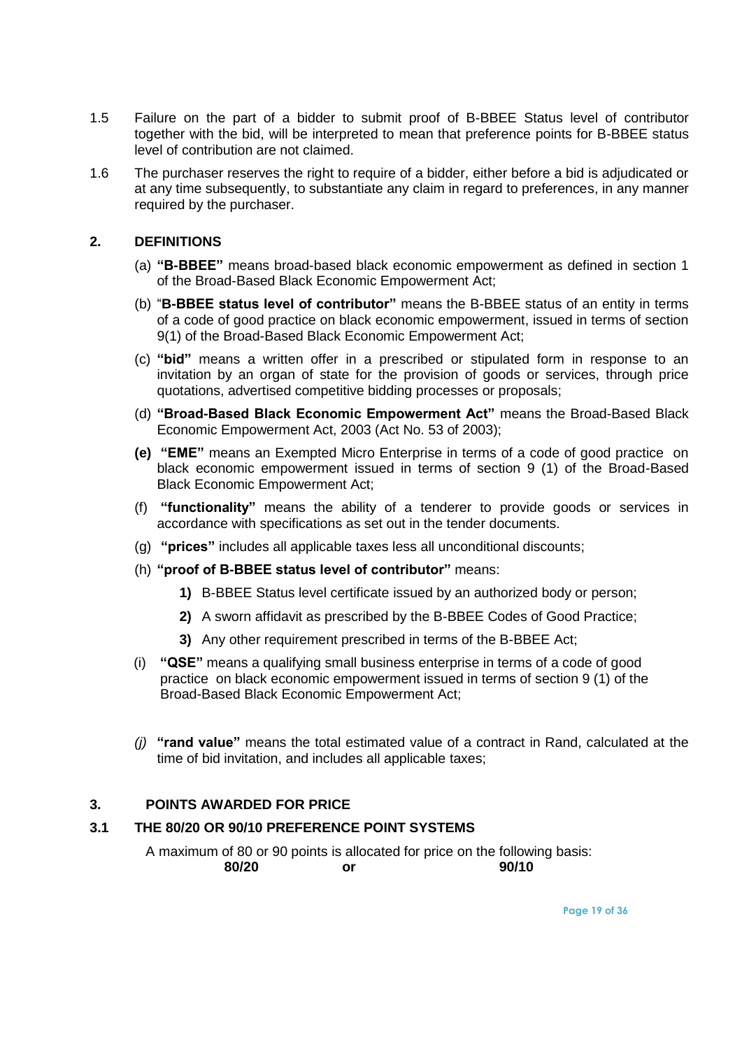- 1.5 Failure on the part of a bidder to submit proof of B-BBEE Status level of contributor together with the bid, will be interpreted to mean that preference points for B-BBEE status level of contribution are not claimed.
- 1.6 The purchaser reserves the right to require of a bidder, either before a bid is adiudicated or at any time subsequently, to substantiate any claim in regard to preferences, in any manner required by the purchaser.

#### **2. DEFINITIONS**

- (a) **"B-BBEE"** means broad-based black economic empowerment as defined in section 1 of the Broad-Based Black Economic Empowerment Act;
- (b) "**B-BBEE status level of contributor"** means the B-BBEE status of an entity in terms of a code of good practice on black economic empowerment, issued in terms of section 9(1) of the Broad-Based Black Economic Empowerment Act;
- (c) **"bid"** means a written offer in a prescribed or stipulated form in response to an invitation by an organ of state for the provision of goods or services, through price quotations, advertised competitive bidding processes or proposals;
- (d) **"Broad-Based Black Economic Empowerment Act"** means the Broad-Based Black Economic Empowerment Act, 2003 (Act No. 53 of 2003);
- **(e) "EME"** means an Exempted Micro Enterprise in terms of a code of good practice on black economic empowerment issued in terms of section 9 (1) of the Broad-Based Black Economic Empowerment Act;
- (f) **"functionality"** means the ability of a tenderer to provide goods or services in accordance with specifications as set out in the tender documents.
- (g) **"prices"** includes all applicable taxes less all unconditional discounts;
- (h) **"proof of B-BBEE status level of contributor"** means:
	- **1)** B-BBEE Status level certificate issued by an authorized body or person;
	- **2)** A sworn affidavit as prescribed by the B-BBEE Codes of Good Practice;
	- **3)** Any other requirement prescribed in terms of the B-BBEE Act;
- (i) **"QSE"** means a qualifying small business enterprise in terms of a code of good practice on black economic empowerment issued in terms of section 9 (1) of the Broad-Based Black Economic Empowerment Act;
- *(j)* **"rand value"** means the total estimated value of a contract in Rand, calculated at the time of bid invitation, and includes all applicable taxes;

#### **3. POINTS AWARDED FOR PRICE**

#### **3.1 THE 80/20 OR 90/10 PREFERENCE POINT SYSTEMS**

A maximum of 80 or 90 points is allocated for price on the following basis: **80/20 or 90/10**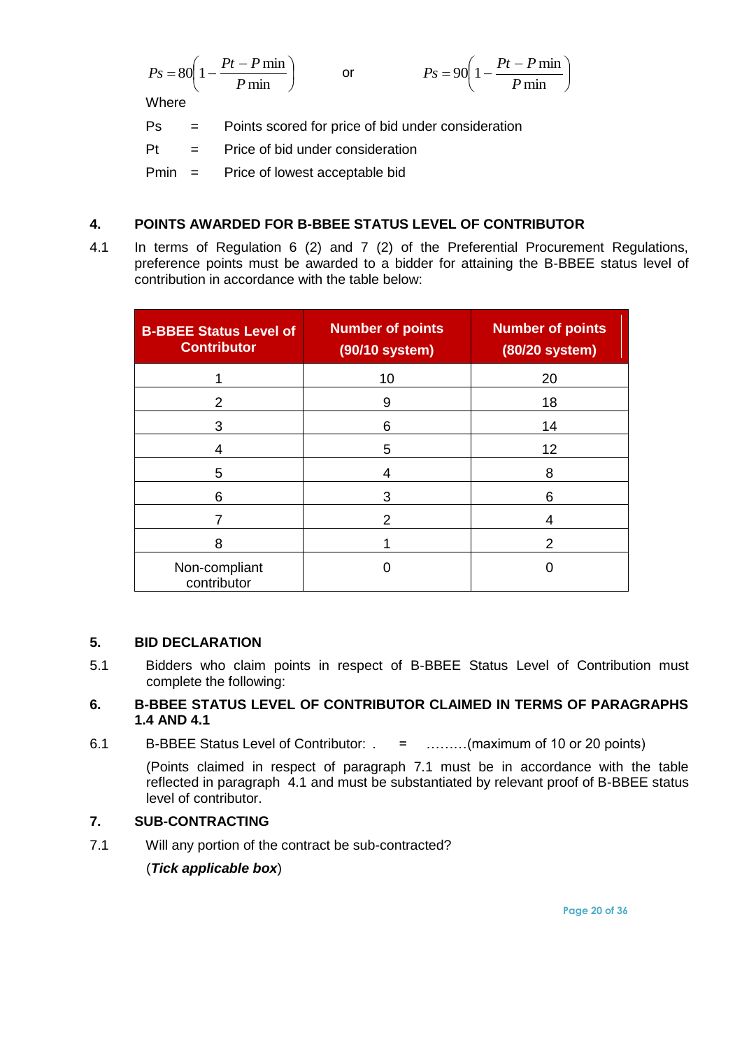$$
Ps = 80\left(1 - \frac{Pt - P \min}{P \min}\right) \qquad \text{or} \qquad \qquad Ps = 90\left(1 - \frac{Pt - P \min}{P \min}\right)
$$

**Where** 

Ps = Points scored for price of bid under consideration

 $Pt =$  Price of bid under consideration

Pmin = Price of lowest acceptable bid

#### **4. POINTS AWARDED FOR B-BBEE STATUS LEVEL OF CONTRIBUTOR**

4.1 In terms of Regulation 6 (2) and 7 (2) of the Preferential Procurement Regulations, preference points must be awarded to a bidder for attaining the B-BBEE status level of contribution in accordance with the table below:

| <b>B-BBEE Status Level of</b><br><b>Contributor</b> | <b>Number of points</b><br>(90/10 system) | <b>Number of points</b><br>$(80/20$ system) |
|-----------------------------------------------------|-------------------------------------------|---------------------------------------------|
|                                                     | 10                                        | 20                                          |
| 2                                                   | 9                                         | 18                                          |
| 3                                                   | 6                                         | 14                                          |
| 4                                                   | 5                                         | 12                                          |
| 5                                                   | 4                                         | 8                                           |
| 6                                                   | 3                                         | 6                                           |
|                                                     | 2                                         | 4                                           |
| 8                                                   |                                           | 2                                           |
| Non-compliant<br>contributor                        |                                           |                                             |

#### **5. BID DECLARATION**

5.1 Bidders who claim points in respect of B-BBEE Status Level of Contribution must complete the following:

#### **6. B-BBEE STATUS LEVEL OF CONTRIBUTOR CLAIMED IN TERMS OF PARAGRAPHS 1.4 AND 4.1**

6.1 B-BBEE Status Level of Contributor: . = ………(maximum of 10 or 20 points)

(Points claimed in respect of paragraph 7.1 must be in accordance with the table reflected in paragraph 4.1 and must be substantiated by relevant proof of B-BBEE status level of contributor.

#### **7. SUB-CONTRACTING**

7.1 Will any portion of the contract be sub-contracted?

#### (*Tick applicable box*)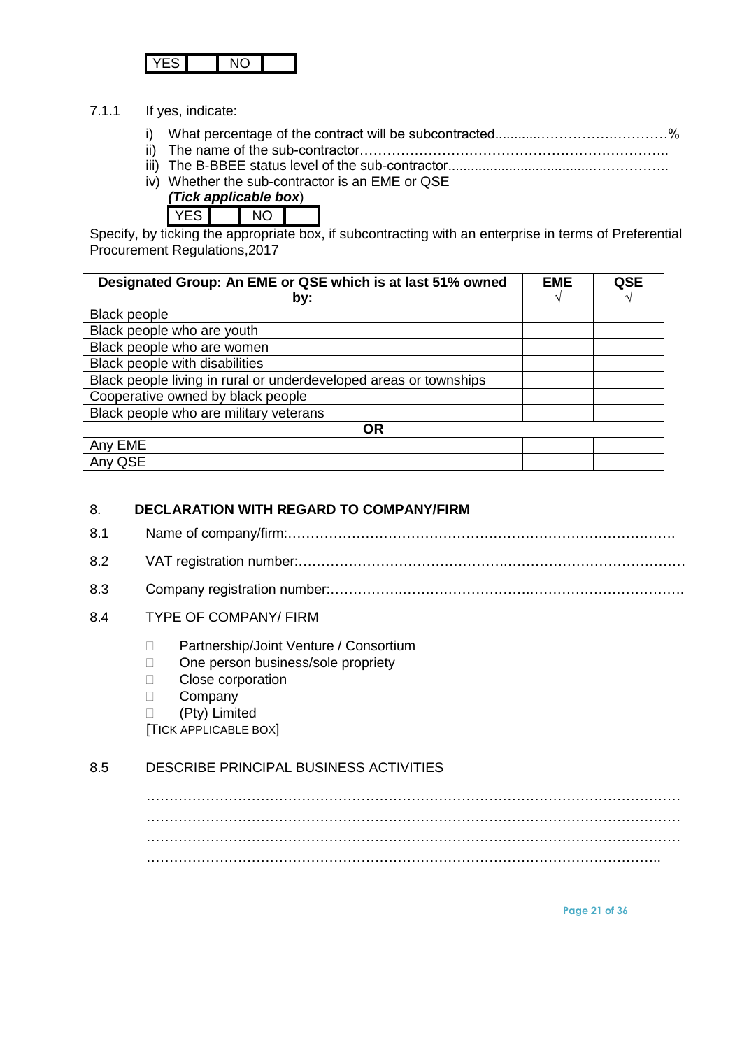

- 7.1.1 If yes, indicate:
	- i) What percentage of the contract will be subcontracted............…………….…………%
	- ii) The name of the sub-contractor…………………………………………………………..
	- iii) The B-BBEE status level of the sub-contractor......................................……………..
	- iv) Whether the sub-contractor is an EME or QSE

*(Tick applicable box*) YES NO

Specify, by ticking the appropriate box, if subcontracting with an enterprise in terms of Preferential Procurement Regulations,2017

| Designated Group: An EME or QSE which is at last 51% owned        | <b>EME</b> | QSE |
|-------------------------------------------------------------------|------------|-----|
| by:                                                               |            |     |
| <b>Black people</b>                                               |            |     |
| Black people who are youth                                        |            |     |
| Black people who are women                                        |            |     |
| Black people with disabilities                                    |            |     |
| Black people living in rural or underdeveloped areas or townships |            |     |
| Cooperative owned by black people                                 |            |     |
| Black people who are military veterans                            |            |     |
| 0R                                                                |            |     |
| Any EME                                                           |            |     |
| Any QSE                                                           |            |     |

#### 8. **DECLARATION WITH REGARD TO COMPANY/FIRM**

8.1 Name of company/firm:………………………………………………………………………….

8.2 VAT registration number:……………………………………….…………………………………

8.3 Company registration number:…………….……………………….…………………………….

#### 8.4 TYPE OF COMPANY/ FIRM

- D Partnership/Joint Venture / Consortium
- □ One person business/sole propriety
- **Close corporation**
- D Company
- (Pty) Limited

[TICK APPLICABLE BOX]

#### 8.5 DESCRIBE PRINCIPAL BUSINESS ACTIVITIES

**Page 21 of 36**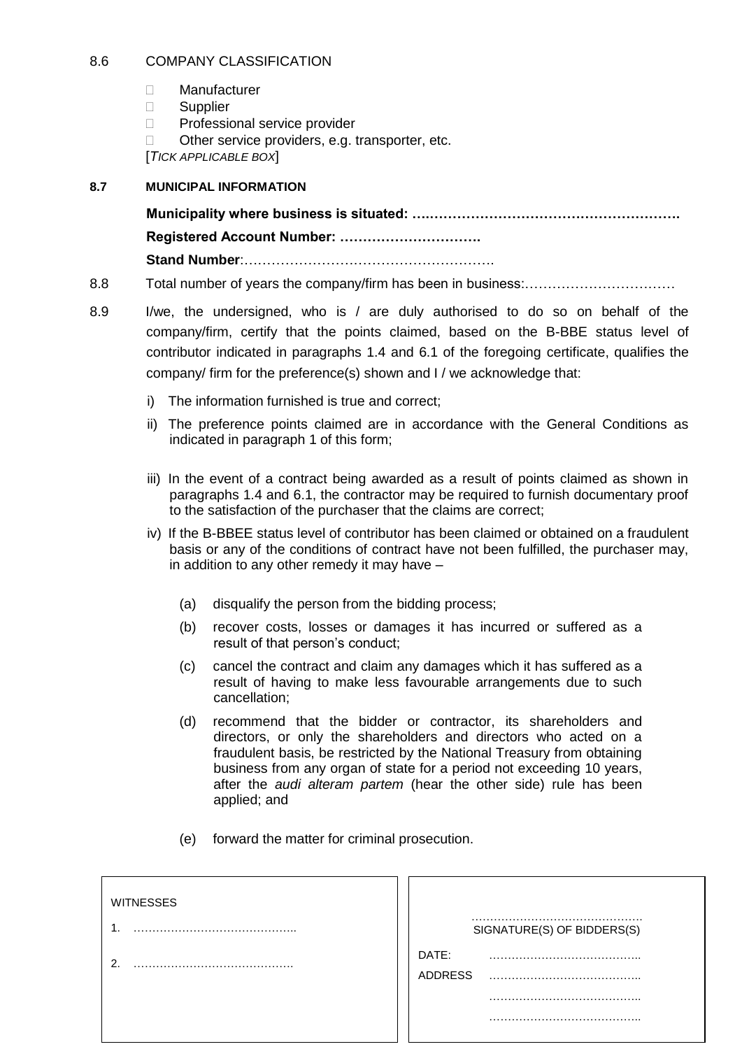#### 8.6 COMPANY CLASSIFICATION

- Manufacturer
- □ Supplier
- □ Professional service provider
- $\Box$  Other service providers, e.g. transporter, etc.

[*TICK APPLICABLE BOX*]

#### **8.7 MUNICIPAL INFORMATION**

**Municipality where business is situated: ….………………………………………………. Registered Account Number: …………………………. Stand Number:** 

- 8.8 Total number of years the company/firm has been in business:……………………………
- 8.9 I/we, the undersigned, who is / are duly authorised to do so on behalf of the company/firm, certify that the points claimed, based on the B-BBE status level of contributor indicated in paragraphs 1.4 and 6.1 of the foregoing certificate, qualifies the company/ firm for the preference(s) shown and I / we acknowledge that:
	- i) The information furnished is true and correct;
	- ii) The preference points claimed are in accordance with the General Conditions as indicated in paragraph 1 of this form;
	- iii) In the event of a contract being awarded as a result of points claimed as shown in paragraphs 1.4 and 6.1, the contractor may be required to furnish documentary proof to the satisfaction of the purchaser that the claims are correct;
	- iv) If the B-BBEE status level of contributor has been claimed or obtained on a fraudulent basis or any of the conditions of contract have not been fulfilled, the purchaser may, in addition to any other remedy it may have –
		- (a) disqualify the person from the bidding process;
		- (b) recover costs, losses or damages it has incurred or suffered as a result of that person's conduct;
		- (c) cancel the contract and claim any damages which it has suffered as a result of having to make less favourable arrangements due to such cancellation;
		- (d) recommend that the bidder or contractor, its shareholders and directors, or only the shareholders and directors who acted on a fraudulent basis, be restricted by the National Treasury from obtaining business from any organ of state for a period not exceeding 10 years, after the *audi alteram partem* (hear the other side) rule has been applied; and
		- (e) forward the matter for criminal prosecution.

| <b>WITNESSES</b> | SIGNATURE(S) OF BIDDERS(S) |
|------------------|----------------------------|
| ົ                | DATE:<br><b>ADDRESS</b>    |
|                  |                            |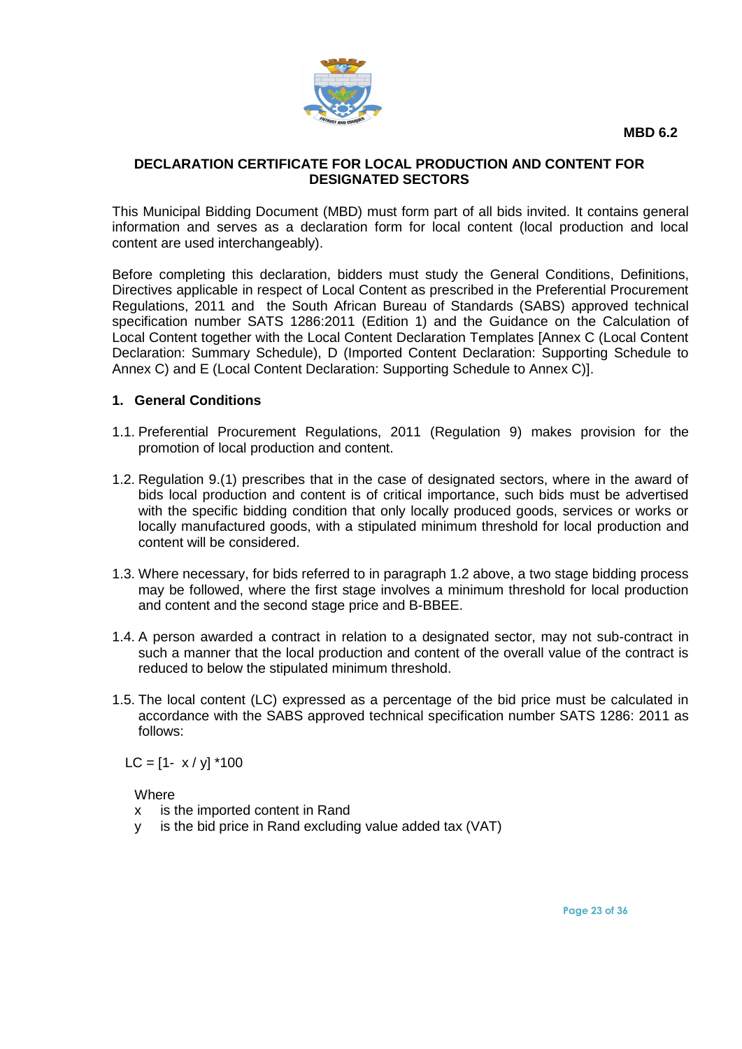

#### **DECLARATION CERTIFICATE FOR LOCAL PRODUCTION AND CONTENT FOR DESIGNATED SECTORS**

This Municipal Bidding Document (MBD) must form part of all bids invited. It contains general information and serves as a declaration form for local content (local production and local content are used interchangeably).

Before completing this declaration, bidders must study the General Conditions, Definitions, Directives applicable in respect of Local Content as prescribed in the Preferential Procurement Regulations, 2011 and the South African Bureau of Standards (SABS) approved technical specification number SATS 1286:2011 (Edition 1) and the Guidance on the Calculation of Local Content together with the Local Content Declaration Templates [Annex C (Local Content Declaration: Summary Schedule), D (Imported Content Declaration: Supporting Schedule to Annex C) and E (Local Content Declaration: Supporting Schedule to Annex C)].

#### **1. General Conditions**

- 1.1. Preferential Procurement Regulations, 2011 (Regulation 9) makes provision for the promotion of local production and content.
- 1.2. Regulation 9.(1) prescribes that in the case of designated sectors, where in the award of bids local production and content is of critical importance, such bids must be advertised with the specific bidding condition that only locally produced goods, services or works or locally manufactured goods, with a stipulated minimum threshold for local production and content will be considered.
- 1.3. Where necessary, for bids referred to in paragraph 1.2 above, a two stage bidding process may be followed, where the first stage involves a minimum threshold for local production and content and the second stage price and B-BBEE.
- 1.4. A person awarded a contract in relation to a designated sector, may not sub-contract in such a manner that the local production and content of the overall value of the contract is reduced to below the stipulated minimum threshold.
- 1.5. The local content (LC) expressed as a percentage of the bid price must be calculated in accordance with the SABS approved technical specification number SATS 1286: 2011 as follows:

 $LC = [1 - x / y]$  \*100

**Where** 

- x is the imported content in Rand
- y is the bid price in Rand excluding value added tax (VAT)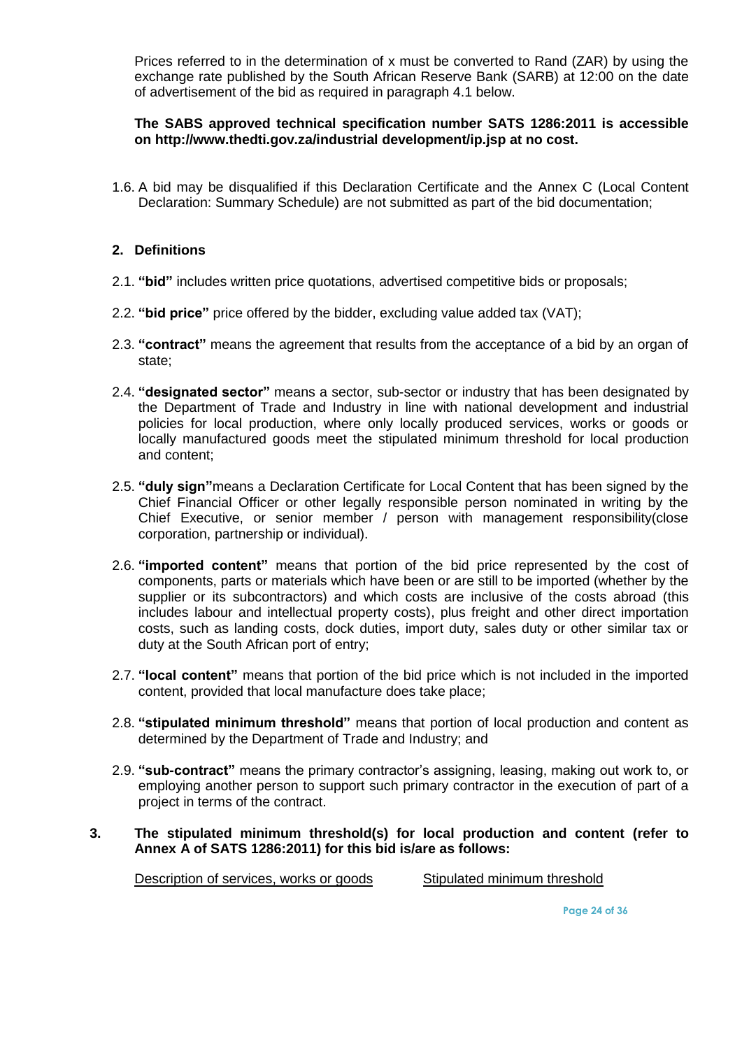Prices referred to in the determination of x must be converted to Rand (ZAR) by using the exchange rate published by the South African Reserve Bank (SARB) at 12:00 on the date of advertisement of the bid as required in paragraph 4.1 below.

#### **The SABS approved technical specification number SATS 1286:2011 is accessible on http://www.thedti.gov.za/industrial development/ip.jsp at no cost.**

1.6. A bid may be disqualified if this Declaration Certificate and the Annex C (Local Content Declaration: Summary Schedule) are not submitted as part of the bid documentation;

#### **2. Definitions**

- 2.1. **"bid"** includes written price quotations, advertised competitive bids or proposals;
- 2.2. **"bid price"** price offered by the bidder, excluding value added tax (VAT);
- 2.3. **"contract"** means the agreement that results from the acceptance of a bid by an organ of state;
- 2.4. **"designated sector"** means a sector, sub-sector or industry that has been designated by the Department of Trade and Industry in line with national development and industrial policies for local production, where only locally produced services, works or goods or locally manufactured goods meet the stipulated minimum threshold for local production and content;
- 2.5. **"duly sign"**means a Declaration Certificate for Local Content that has been signed by the Chief Financial Officer or other legally responsible person nominated in writing by the Chief Executive, or senior member / person with management responsibility(close corporation, partnership or individual).
- 2.6. **"imported content"** means that portion of the bid price represented by the cost of components, parts or materials which have been or are still to be imported (whether by the supplier or its subcontractors) and which costs are inclusive of the costs abroad (this includes labour and intellectual property costs), plus freight and other direct importation costs, such as landing costs, dock duties, import duty, sales duty or other similar tax or duty at the South African port of entry;
- 2.7. **"local content"** means that portion of the bid price which is not included in the imported content, provided that local manufacture does take place;
- 2.8. **"stipulated minimum threshold"** means that portion of local production and content as determined by the Department of Trade and Industry; and
- 2.9. **"sub-contract"** means the primary contractor's assigning, leasing, making out work to, or employing another person to support such primary contractor in the execution of part of a project in terms of the contract.
- **3. The stipulated minimum threshold(s) for local production and content (refer to Annex A of SATS 1286:2011) for this bid is/are as follows:**

Description of services, works or goods Stipulated minimum threshold

**Page 24 of 36**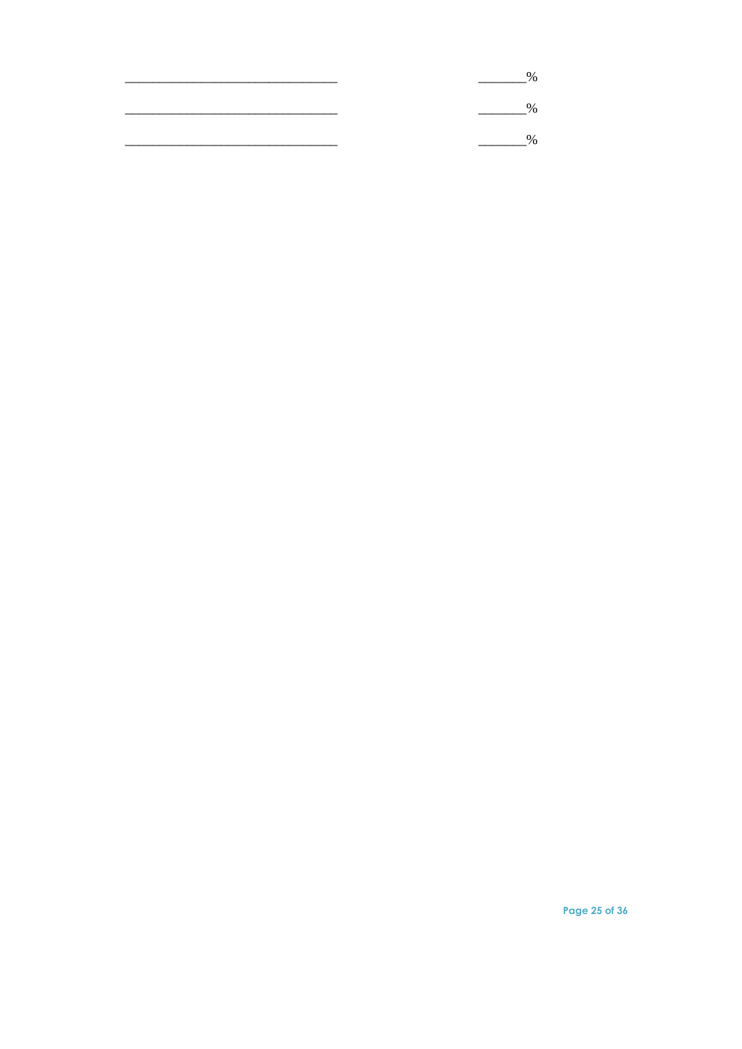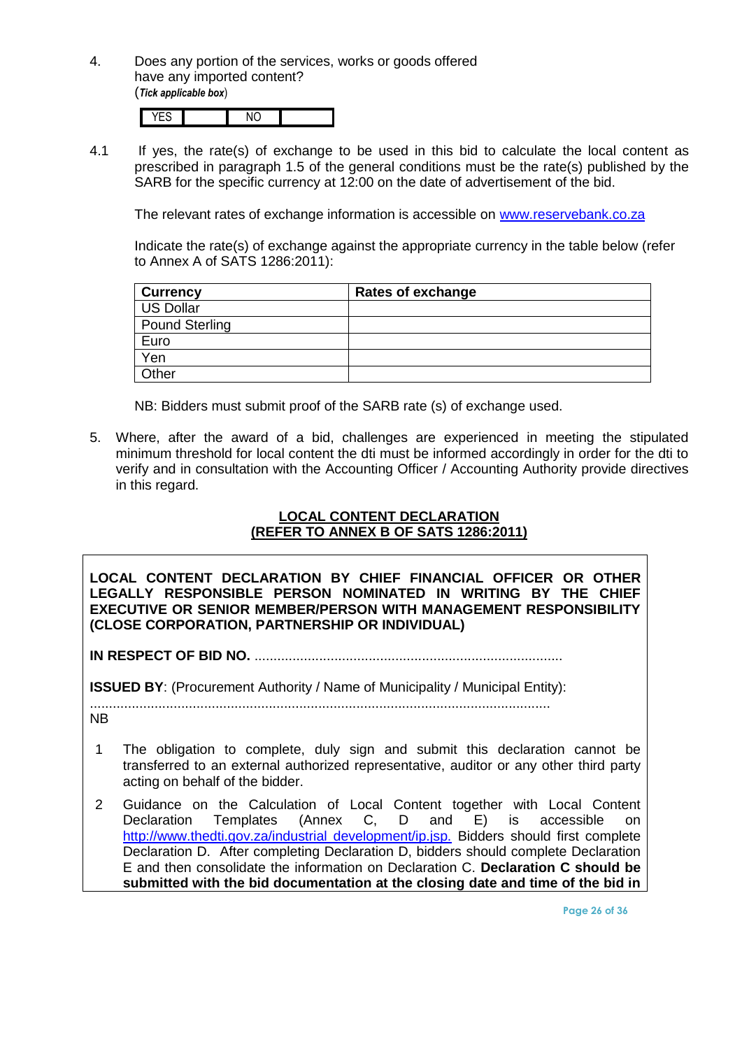4. Does any portion of the services, works or goods offered have any imported content?

(*Tick applicable box*)

4.1 If yes, the rate(s) of exchange to be used in this bid to calculate the local content as prescribed in paragraph 1.5 of the general conditions must be the rate(s) published by the SARB for the specific currency at 12:00 on the date of advertisement of the bid.

The relevant rates of exchange information is accessible on [www.reservebank.co.za](http://www.reservebank.co.za/)

Indicate the rate(s) of exchange against the appropriate currency in the table below (refer to Annex A of SATS 1286:2011):

| Currency       | <b>Rates of exchange</b> |
|----------------|--------------------------|
| US Dollar      |                          |
| Pound Sterling |                          |
| Euro           |                          |
| Yen            |                          |
| Other          |                          |

NB: Bidders must submit proof of the SARB rate (s) of exchange used.

5. Where, after the award of a bid, challenges are experienced in meeting the stipulated minimum threshold for local content the dti must be informed accordingly in order for the dti to verify and in consultation with the Accounting Officer / Accounting Authority provide directives in this regard.

#### **LOCAL CONTENT DECLARATION (REFER TO ANNEX B OF SATS 1286:2011)**

**LOCAL CONTENT DECLARATION BY CHIEF FINANCIAL OFFICER OR OTHER LEGALLY RESPONSIBLE PERSON NOMINATED IN WRITING BY THE CHIEF EXECUTIVE OR SENIOR MEMBER/PERSON WITH MANAGEMENT RESPONSIBILITY (CLOSE CORPORATION, PARTNERSHIP OR INDIVIDUAL)** 

**IN RESPECT OF BID NO.** .................................................................................

**ISSUED BY:** (Procurement Authority / Name of Municipality / Municipal Entity):

.........................................................................................................................

NB

- 1 The obligation to complete, duly sign and submit this declaration cannot be transferred to an external authorized representative, auditor or any other third party acting on behalf of the bidder.
- 2 Guidance on the Calculation of Local Content together with Local Content<br>Declaration Templates (Annex C. D and E) is accessible on Declaration Templates (Annex C, D and E) is accessible on [http://www.thedti.gov.za/industrial development/ip.jsp.](http://www.thedti.gov.za/industrial%20development/ip.jsp.) Bidders should first complete Declaration D. After completing Declaration D, bidders should complete Declaration E and then consolidate the information on Declaration C. **Declaration C should be submitted with the bid documentation at the closing date and time of the bid in**

**Page 26 of 36**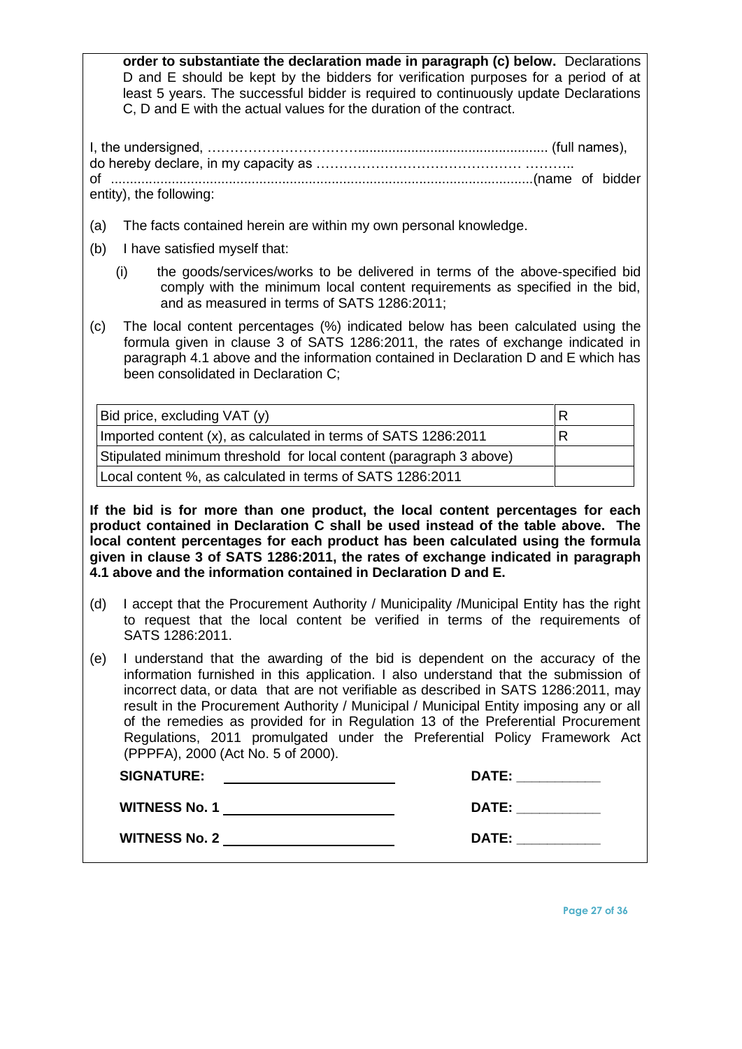**order to substantiate the declaration made in paragraph (c) below.** Declarations D and E should be kept by the bidders for verification purposes for a period of at least 5 years. The successful bidder is required to continuously update Declarations C, D and E with the actual values for the duration of the contract.

| entity), the following: |  |  |
|-------------------------|--|--|

- (a) The facts contained herein are within my own personal knowledge.
- (b) I have satisfied myself that:
	- (i) the goods/services/works to be delivered in terms of the above-specified bid comply with the minimum local content requirements as specified in the bid, and as measured in terms of SATS 1286:2011;
- (c) The local content percentages (%) indicated below has been calculated using the formula given in clause 3 of SATS 1286:2011, the rates of exchange indicated in paragraph 4.1 above and the information contained in Declaration D and E which has been consolidated in Declaration C;

| Bid price, excluding VAT (y)                                       |  |
|--------------------------------------------------------------------|--|
| Imported content (x), as calculated in terms of SATS 1286:2011     |  |
| Stipulated minimum threshold for local content (paragraph 3 above) |  |
| Local content %, as calculated in terms of SATS 1286:2011          |  |

**If the bid is for more than one product, the local content percentages for each product contained in Declaration C shall be used instead of the table above. The local content percentages for each product has been calculated using the formula given in clause 3 of SATS 1286:2011, the rates of exchange indicated in paragraph 4.1 above and the information contained in Declaration D and E.**

- (d) I accept that the Procurement Authority / Municipality /Municipal Entity has the right to request that the local content be verified in terms of the requirements of SATS 1286:2011.
- (e) I understand that the awarding of the bid is dependent on the accuracy of the information furnished in this application. I also understand that the submission of incorrect data, or data that are not verifiable as described in SATS 1286:2011, may result in the Procurement Authority / Municipal / Municipal Entity imposing any or all of the remedies as provided for in Regulation 13 of the Preferential Procurement Regulations, 2011 promulgated under the Preferential Policy Framework Act (PPPFA), 2000 (Act No. 5 of 2000).

| <b>SIGNATURE:</b>    | <b>DATE:</b> |
|----------------------|--------------|
| <b>WITNESS No. 1</b> | <b>DATE:</b> |
| <b>WITNESS No. 2</b> | DATE:        |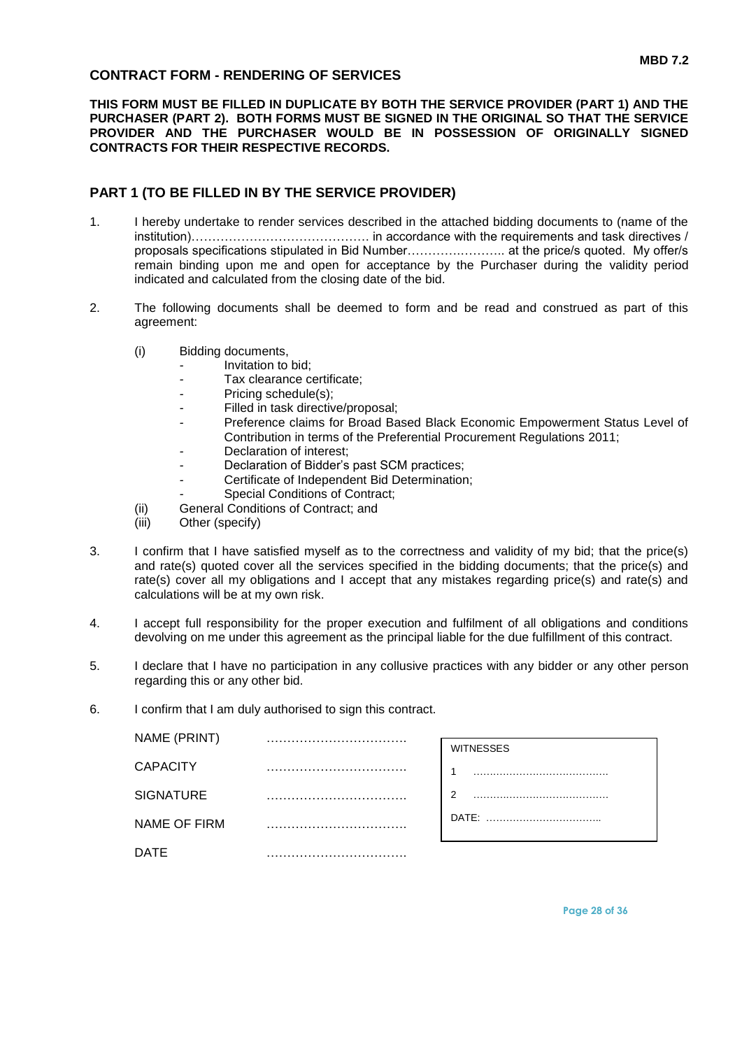#### **CONTRACT FORM - RENDERING OF SERVICES**

**THIS FORM MUST BE FILLED IN DUPLICATE BY BOTH THE SERVICE PROVIDER (PART 1) AND THE PURCHASER (PART 2). BOTH FORMS MUST BE SIGNED IN THE ORIGINAL SO THAT THE SERVICE PROVIDER AND THE PURCHASER WOULD BE IN POSSESSION OF ORIGINALLY SIGNED CONTRACTS FOR THEIR RESPECTIVE RECORDS.**

#### **PART 1 (TO BE FILLED IN BY THE SERVICE PROVIDER)**

- 1. I hereby undertake to render services described in the attached bidding documents to (name of the institution)……………………………………. in accordance with the requirements and task directives / proposals specifications stipulated in Bid Number………….……….. at the price/s quoted. My offer/s remain binding upon me and open for acceptance by the Purchaser during the validity period indicated and calculated from the closing date of the bid.
- 2. The following documents shall be deemed to form and be read and construed as part of this agreement:
	- (i) Bidding documents,
		- *-* Invitation to bid;
		- *-* Tax clearance certificate;
		- *-* Pricing schedule(s);
		- *-* Filled in task directive/proposal;
		- *-* Preference claims for Broad Based Black Economic Empowerment Status Level of Contribution in terms of the Preferential Procurement Regulations 2011;
		- *-* Declaration of interest;
		- *-* Declaration of Bidder's past SCM practices;
			- *-* Certificate of Independent Bid Determination;
		- **Special Conditions of Contract;**
	- (ii) General Conditions of Contract; and
	- (iii) Other (specify)
- 3. I confirm that I have satisfied myself as to the correctness and validity of my bid; that the price(s) and rate(s) quoted cover all the services specified in the bidding documents; that the price(s) and rate(s) cover all my obligations and I accept that any mistakes regarding price(s) and rate(s) and calculations will be at my own risk.
- 4. I accept full responsibility for the proper execution and fulfilment of all obligations and conditions devolving on me under this agreement as the principal liable for the due fulfillment of this contract.
- 5. I declare that I have no participation in any collusive practices with any bidder or any other person regarding this or any other bid.
- 6. I confirm that I am duly authorised to sign this contract.

| NAME (PRINT)     |   |                  |
|------------------|---|------------------|
|                  | . | <b>WITNESSES</b> |
| CAPACITY         |   | 4                |
| <b>SIGNATURE</b> |   | $\overline{2}$   |
| NAME OF FIRM     |   | DATE:            |
| DATE             | . |                  |

**Page 28 of 36**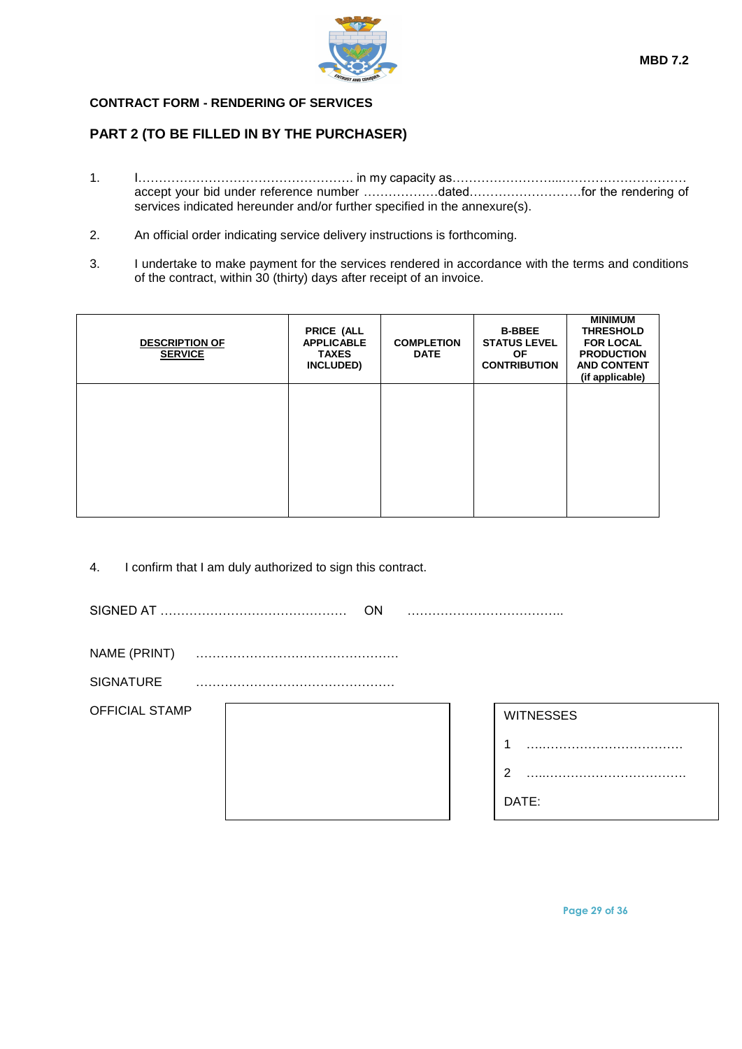

#### **CONTRACT FORM - RENDERING OF SERVICES**

#### **PART 2 (TO BE FILLED IN BY THE PURCHASER)**

- 1. I……………………………………………. in my capacity as……………………...………………………… accept your bid under reference number ………………dated………………………for the rendering of services indicated hereunder and/or further specified in the annexure(s).
- 2. An official order indicating service delivery instructions is forthcoming.
- 3. I undertake to make payment for the services rendered in accordance with the terms and conditions of the contract, within 30 (thirty) days after receipt of an invoice.

| <b>DESCRIPTION OF</b><br><b>SERVICE</b> | PRICE (ALL<br><b>APPLICABLE</b><br><b>TAXES</b><br><b>INCLUDED)</b> | <b>COMPLETION</b><br><b>DATE</b> | <b>B-BBEE</b><br><b>STATUS LEVEL</b><br><b>OF</b><br><b>CONTRIBUTION</b> | <b>MINIMUM</b><br><b>THRESHOLD</b><br><b>FOR LOCAL</b><br><b>PRODUCTION</b><br><b>AND CONTENT</b><br>(if applicable) |
|-----------------------------------------|---------------------------------------------------------------------|----------------------------------|--------------------------------------------------------------------------|----------------------------------------------------------------------------------------------------------------------|
|                                         |                                                                     |                                  |                                                                          |                                                                                                                      |
|                                         |                                                                     |                                  |                                                                          |                                                                                                                      |

4. I confirm that I am duly authorized to sign this contract.

SIGNED AT ……………………………………… ON ………………………………..

NAME (PRINT) ………………………………………….

SIGNATURE …………………………………………

OFFICIAL STAMP

| <b>WITNESSES</b> |
|------------------|
| 1                |
| 2                |
| DATE:            |

**Page 29 of 36**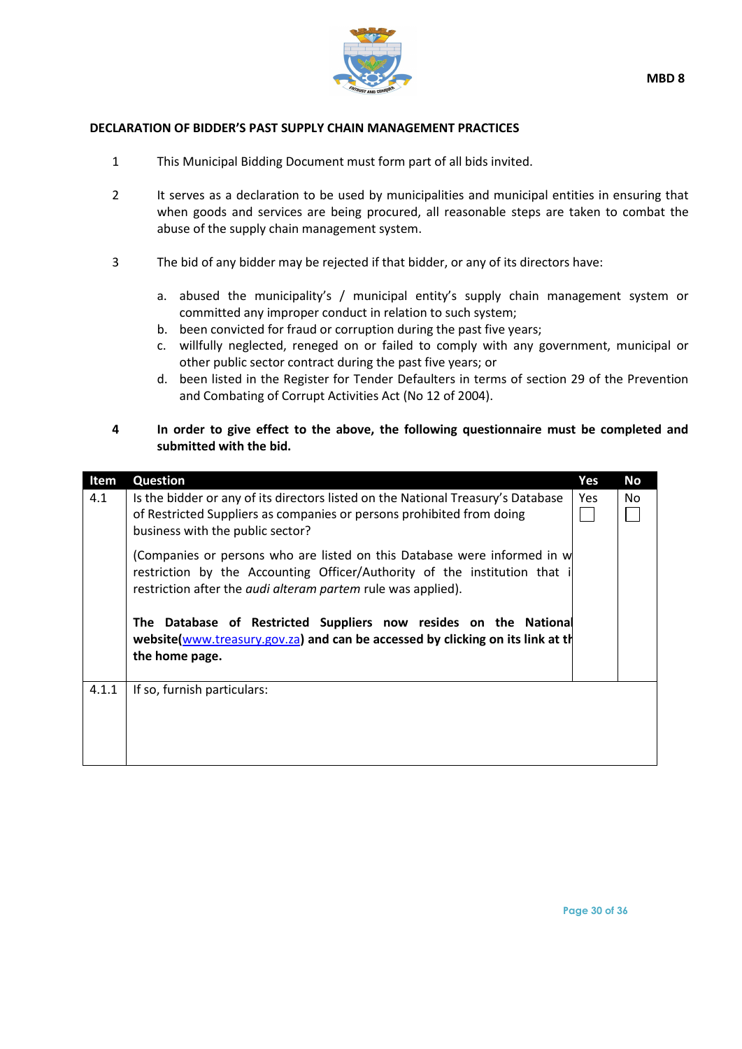

#### **DECLARATION OF BIDDER'S PAST SUPPLY CHAIN MANAGEMENT PRACTICES**

- 1 This Municipal Bidding Document must form part of all bids invited.
- 2 It serves as a declaration to be used by municipalities and municipal entities in ensuring that when goods and services are being procured, all reasonable steps are taken to combat the abuse of the supply chain management system.
- 3 The bid of any bidder may be rejected if that bidder, or any of its directors have:
	- a. abused the municipality's / municipal entity's supply chain management system or committed any improper conduct in relation to such system;
	- b. been convicted for fraud or corruption during the past five years;
	- c. willfully neglected, reneged on or failed to comply with any government, municipal or other public sector contract during the past five years; or
	- d. been listed in the Register for Tender Defaulters in terms of section 29 of the Prevention and Combating of Corrupt Activities Act (No 12 of 2004).

#### **4 In order to give effect to the above, the following questionnaire must be completed and submitted with the bid.**

| Item  | <b>Question</b>                                                                                                                                                                                                            | Yes        | Νo |
|-------|----------------------------------------------------------------------------------------------------------------------------------------------------------------------------------------------------------------------------|------------|----|
| 4.1   | Is the bidder or any of its directors listed on the National Treasury's Database<br>of Restricted Suppliers as companies or persons prohibited from doing<br>business with the public sector?                              | <b>Yes</b> | No |
|       | (Companies or persons who are listed on this Database were informed in w<br>restriction by the Accounting Officer/Authority of the institution that<br>restriction after the <i>audi alteram partem</i> rule was applied). |            |    |
|       | The Database of Restricted Suppliers now resides on the National<br>website(www.treasury.gov.za) and can be accessed by clicking on its link at the<br>the home page.                                                      |            |    |
| 4.1.1 | If so, furnish particulars:                                                                                                                                                                                                |            |    |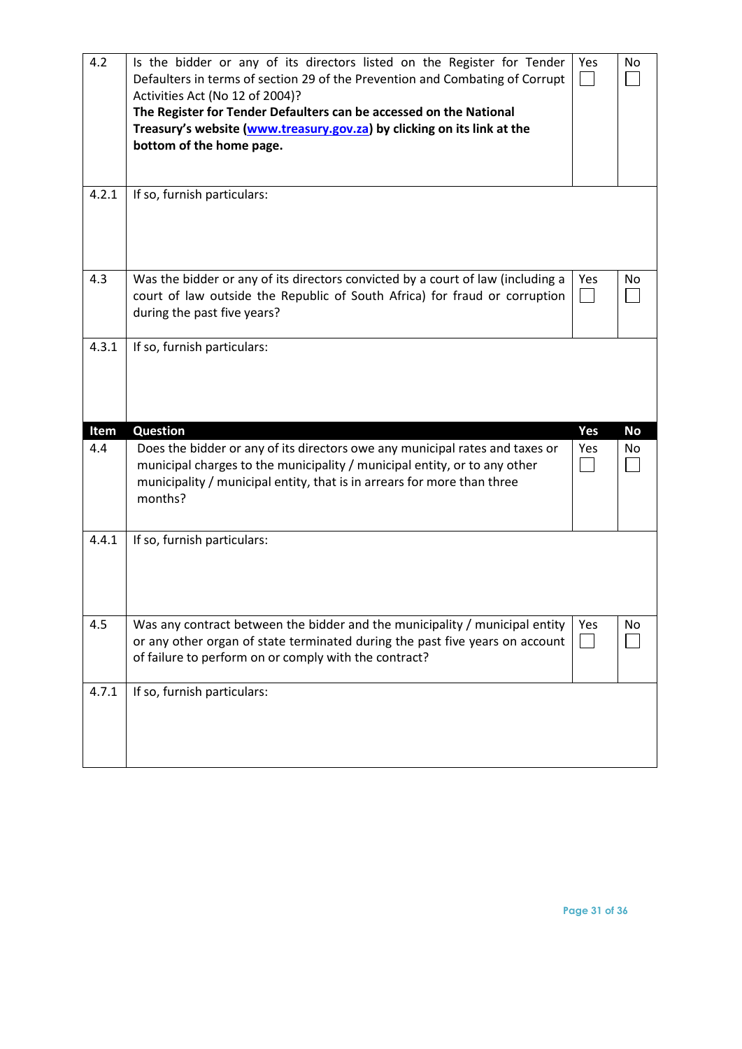| 4.2   | Is the bidder or any of its directors listed on the Register for Tender<br>Defaulters in terms of section 29 of the Prevention and Combating of Corrupt<br>Activities Act (No 12 of 2004)?<br>The Register for Tender Defaulters can be accessed on the National<br>Treasury's website (www.treasury.gov.za) by clicking on its link at the<br>bottom of the home page. | Yes                             | No        |
|-------|-------------------------------------------------------------------------------------------------------------------------------------------------------------------------------------------------------------------------------------------------------------------------------------------------------------------------------------------------------------------------|---------------------------------|-----------|
| 4.2.1 | If so, furnish particulars:                                                                                                                                                                                                                                                                                                                                             |                                 |           |
| 4.3   | Was the bidder or any of its directors convicted by a court of law (including a<br>court of law outside the Republic of South Africa) for fraud or corruption<br>during the past five years?                                                                                                                                                                            | Yes<br>$\overline{\phantom{0}}$ | No        |
| 4.3.1 | If so, furnish particulars:                                                                                                                                                                                                                                                                                                                                             |                                 |           |
|       |                                                                                                                                                                                                                                                                                                                                                                         |                                 |           |
| Item  | <b>Question</b>                                                                                                                                                                                                                                                                                                                                                         | Yes                             | <b>No</b> |
| 4.4   | Does the bidder or any of its directors owe any municipal rates and taxes or<br>municipal charges to the municipality / municipal entity, or to any other<br>municipality / municipal entity, that is in arrears for more than three<br>months?                                                                                                                         | Yes<br>$\sim$                   | No        |
| 4.4.1 | If so, furnish particulars:                                                                                                                                                                                                                                                                                                                                             |                                 |           |
| 4.5   | Was any contract between the bidder and the municipality / municipal entity<br>or any other organ of state terminated during the past five years on account<br>of failure to perform on or comply with the contract?                                                                                                                                                    | Yes<br>$\sim$                   | No        |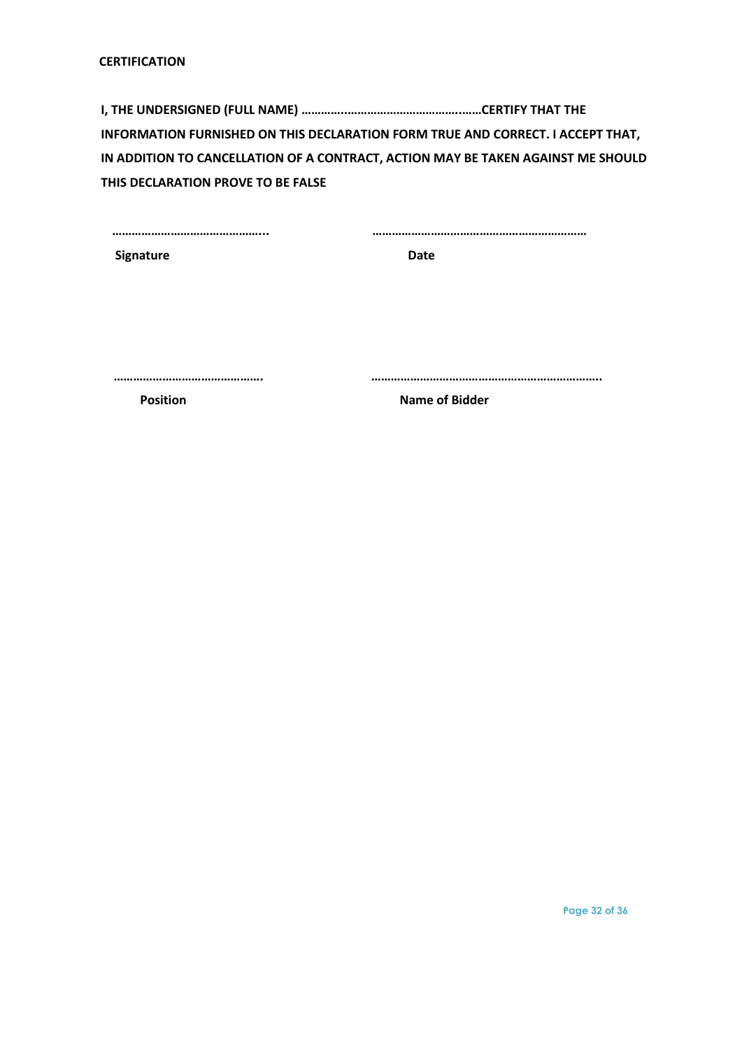**I, THE UNDERSIGNED (FULL NAME) …………..……………………………..……CERTIFY THAT THE INFORMATION FURNISHED ON THIS DECLARATION FORM TRUE AND CORRECT. I ACCEPT THAT, IN ADDITION TO CANCELLATION OF A CONTRACT, ACTION MAY BE TAKEN AGAINST ME SHOULD THIS DECLARATION PROVE TO BE FALSE**

| Signature | Date |
|-----------|------|

 **………………………………………. ……………………………………………………………..**

**Position CONSERVING POSITION** 

**Page 32 of 36**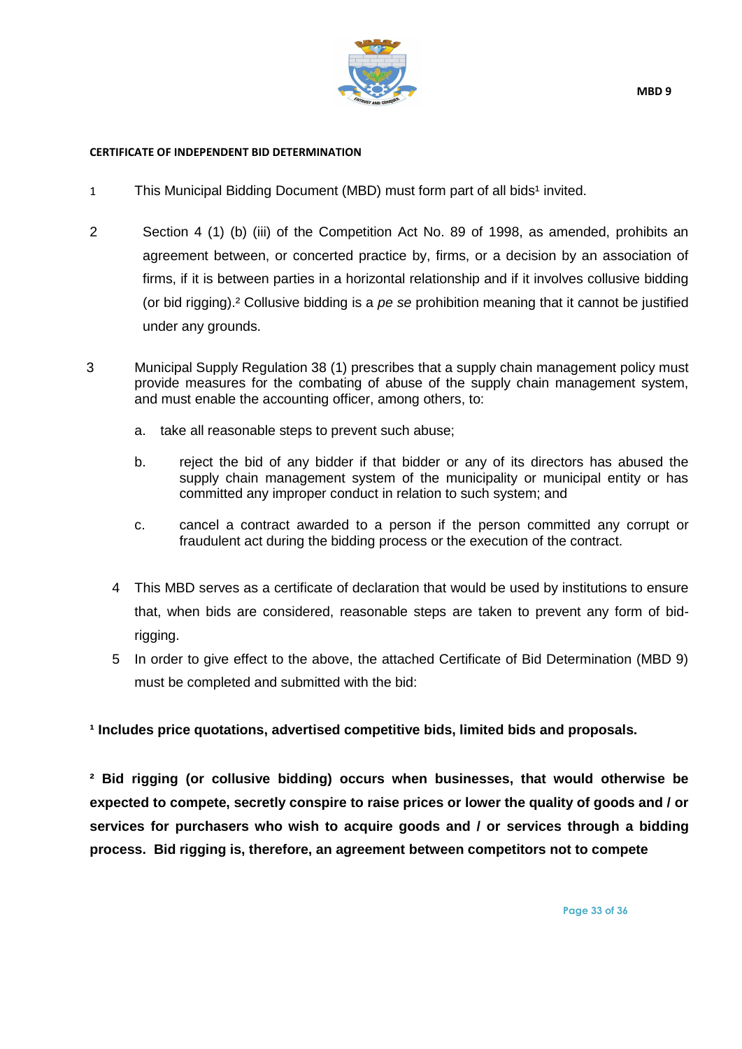

#### **CERTIFICATE OF INDEPENDENT BID DETERMINATION**

- 1 This Municipal Bidding Document (MBD) must form part of all bids<sup>1</sup> invited.
- 2 Section 4 (1) (b) (iii) of the Competition Act No. 89 of 1998, as amended, prohibits an agreement between, or concerted practice by, firms, or a decision by an association of firms, if it is between parties in a horizontal relationship and if it involves collusive bidding (or bid rigging).² Collusive bidding is a *pe se* prohibition meaning that it cannot be justified under any grounds.
- 3 Municipal Supply Regulation 38 (1) prescribes that a supply chain management policy must provide measures for the combating of abuse of the supply chain management system, and must enable the accounting officer, among others, to:
	- a. take all reasonable steps to prevent such abuse;
	- b. reject the bid of any bidder if that bidder or any of its directors has abused the supply chain management system of the municipality or municipal entity or has committed any improper conduct in relation to such system; and
	- c. cancel a contract awarded to a person if the person committed any corrupt or fraudulent act during the bidding process or the execution of the contract.
	- 4 This MBD serves as a certificate of declaration that would be used by institutions to ensure that, when bids are considered, reasonable steps are taken to prevent any form of bidrigging.
	- 5 In order to give effect to the above, the attached Certificate of Bid Determination (MBD 9) must be completed and submitted with the bid:

**¹ Includes price quotations, advertised competitive bids, limited bids and proposals.**

**² Bid rigging (or collusive bidding) occurs when businesses, that would otherwise be expected to compete, secretly conspire to raise prices or lower the quality of goods and / or services for purchasers who wish to acquire goods and / or services through a bidding process. Bid rigging is, therefore, an agreement between competitors not to compete**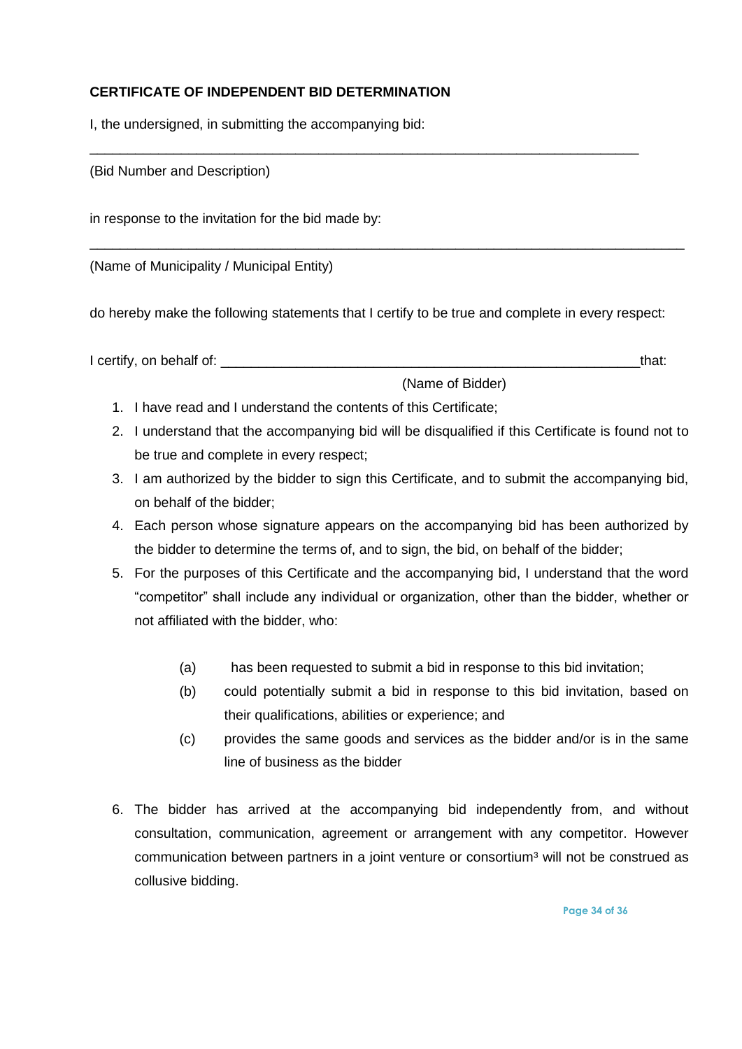#### **CERTIFICATE OF INDEPENDENT BID DETERMINATION**

I, the undersigned, in submitting the accompanying bid:

(Bid Number and Description)

in response to the invitation for the bid made by:

(Name of Municipality / Municipal Entity)

do hereby make the following statements that I certify to be true and complete in every respect:

\_\_\_\_\_\_\_\_\_\_\_\_\_\_\_\_\_\_\_\_\_\_\_\_\_\_\_\_\_\_\_\_\_\_\_\_\_\_\_\_\_\_\_\_\_\_\_\_\_\_\_\_\_\_\_\_\_\_\_\_\_\_\_\_\_\_\_\_\_\_\_\_\_\_\_\_\_\_

\_\_\_\_\_\_\_\_\_\_\_\_\_\_\_\_\_\_\_\_\_\_\_\_\_\_\_\_\_\_\_\_\_\_\_\_\_\_\_\_\_\_\_\_\_\_\_\_\_\_\_\_\_\_\_\_\_\_\_\_\_\_\_\_\_\_\_\_\_\_\_\_

I certify, on behalf of: \_\_\_\_\_\_\_\_\_\_\_\_\_\_\_\_\_\_\_\_\_\_\_\_\_\_\_\_\_\_\_\_\_\_\_\_\_\_\_\_\_\_\_\_\_\_\_\_\_\_\_\_\_\_\_that:

(Name of Bidder)

- 1. I have read and I understand the contents of this Certificate;
- 2. I understand that the accompanying bid will be disqualified if this Certificate is found not to be true and complete in every respect;
- 3. I am authorized by the bidder to sign this Certificate, and to submit the accompanying bid, on behalf of the bidder;
- 4. Each person whose signature appears on the accompanying bid has been authorized by the bidder to determine the terms of, and to sign, the bid, on behalf of the bidder;
- 5. For the purposes of this Certificate and the accompanying bid, I understand that the word "competitor" shall include any individual or organization, other than the bidder, whether or not affiliated with the bidder, who:
	- (a) has been requested to submit a bid in response to this bid invitation;
	- (b) could potentially submit a bid in response to this bid invitation, based on their qualifications, abilities or experience; and
	- (c) provides the same goods and services as the bidder and/or is in the same line of business as the bidder
- 6. The bidder has arrived at the accompanying bid independently from, and without consultation, communication, agreement or arrangement with any competitor. However communication between partners in a joint venture or consortium<sup>3</sup> will not be construed as collusive bidding.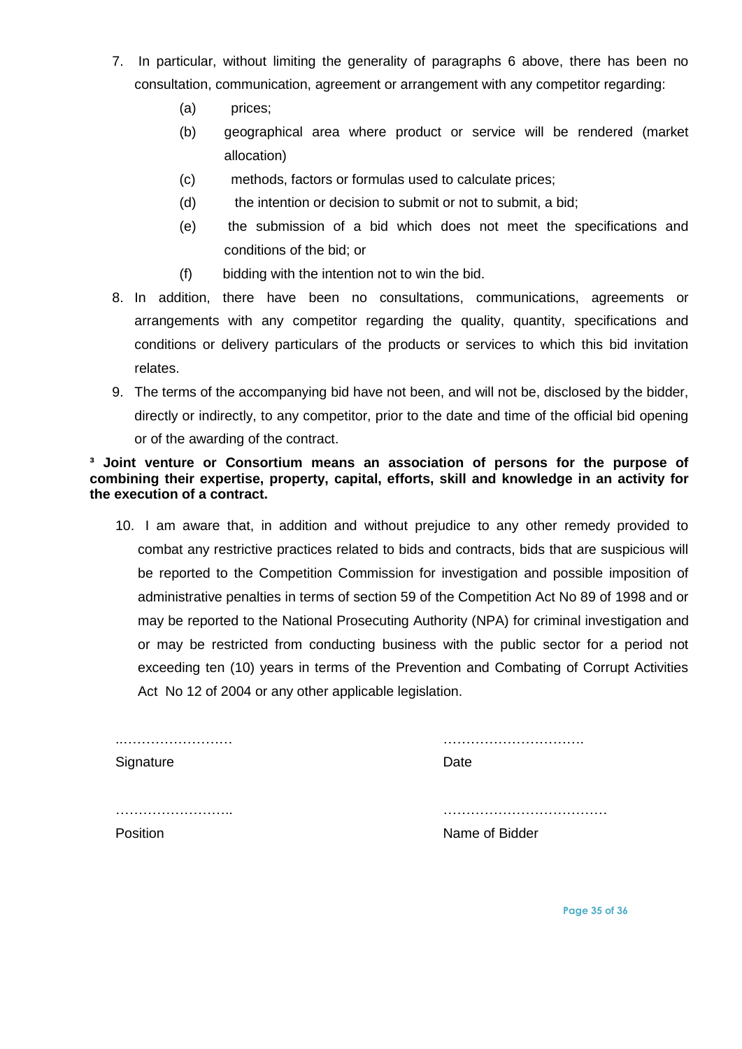- 7. In particular, without limiting the generality of paragraphs 6 above, there has been no consultation, communication, agreement or arrangement with any competitor regarding:
	- (a) prices;
	- (b) geographical area where product or service will be rendered (market allocation)
	- (c) methods, factors or formulas used to calculate prices;
	- (d) the intention or decision to submit or not to submit, a bid;
	- (e) the submission of a bid which does not meet the specifications and conditions of the bid; or
	- (f) bidding with the intention not to win the bid.
- 8. In addition, there have been no consultations, communications, agreements or arrangements with any competitor regarding the quality, quantity, specifications and conditions or delivery particulars of the products or services to which this bid invitation relates.
- 9. The terms of the accompanying bid have not been, and will not be, disclosed by the bidder, directly or indirectly, to any competitor, prior to the date and time of the official bid opening or of the awarding of the contract.

#### **³ Joint venture or Consortium means an association of persons for the purpose of combining their expertise, property, capital, efforts, skill and knowledge in an activity for the execution of a contract.**

10. I am aware that, in addition and without prejudice to any other remedy provided to combat any restrictive practices related to bids and contracts, bids that are suspicious will be reported to the Competition Commission for investigation and possible imposition of administrative penalties in terms of section 59 of the Competition Act No 89 of 1998 and or may be reported to the National Prosecuting Authority (NPA) for criminal investigation and or may be restricted from conducting business with the public sector for a period not exceeding ten (10) years in terms of the Prevention and Combating of Corrupt Activities Act No 12 of 2004 or any other applicable legislation.

| .         |                |
|-----------|----------------|
| Signature | Date           |
| .         |                |
| Position  | Name of Bidder |

**Page 35 of 36**